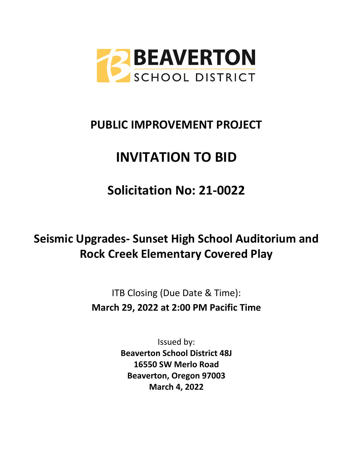

## **PUBLIC IMPROVEMENT PROJECT**

# **INVITATION TO BID**

**Solicitation No: 21-0022**

# **Seismic Upgrades- Sunset High School Auditorium and Rock Creek Elementary Covered Play**

ITB Closing (Due Date & Time): **March 29, 2022 at 2:00 PM Pacific Time**

> Issued by: **Beaverton School District 48J 16550 SW Merlo Road Beaverton, Oregon 97003 March 4, 2022**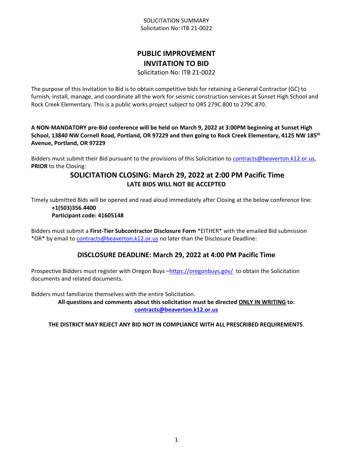#### SOLICITATION SUMMARY Solicitation No: ITB 21-0022

## **PUBLIC IMPROVEMENT INVITATION TO BID**

Solicitation No: ITB 21-0022

The purpose of this Invitation to Bid is to obtain competitive bids for retaining a General Contractor (GC) to furnish, install, manage, and coordinate all the work for seismic construction services at Sunset High School and Rock Creek Elementary. This is a public works project subject to ORS 279C.800 to 279C.870.

**A NON-MANDATORY pre-Bid conference will be held on March 9, 2022 at 3:00PM beginning at Sunset High School, 13840 NW Cornell Road, Portland, OR 97229 and then going to Rock Creek Elementary, 4125 NW 185th Avenue, Portland, OR 97229** 

Bidders must submit their Bid pursuant to the provisions of this Solicitation to [contracts@beaverton.k12.or.us,](mailto:contracts@beaverton.k12.or.us) **PRIOR** to the Closing:

## **SOLICITATION CLOSING: March 29, 2022 at 2:00 PM Pacific Time LATE BIDS WILL NOT BE ACCEPTED**

Timely submitted Bids will be opened and read aloud immediately after Closing at the below conference line: **+1(503)356.4400**

## **Participant code: 41605148**

Bidders must submit a **First-Tier Subcontractor Disclosure Form** \*EITHER\* with the emailed Bid submission \*OR\* by email to [contracts@beaverton.k12.or.us](mailto:contracts@beaverton.k12.or.us) no later than the Disclosure Deadline:

## **DISCLOSURE DEADLINE: March 29, 2022 at 4:00 PM Pacific Time**

Prospective Bidders must register with Oregon Buys -<https://oregonbuys.gov/>to obtain the Solicitation documents and related documents.

Bidders must familiarize themselves with the entire Solicitation.

**All questions and comments about this solicitation must be directed ONLY IN WRITING to: [contracts@beaverton.k12.or.us](mailto:contracts@beaverton.k12.or.us)**

**THE DISTRICT MAY REJECT ANY BID NOT IN COMPLIANCE WITH ALL PRESCRIBED REQUIREMENTS**.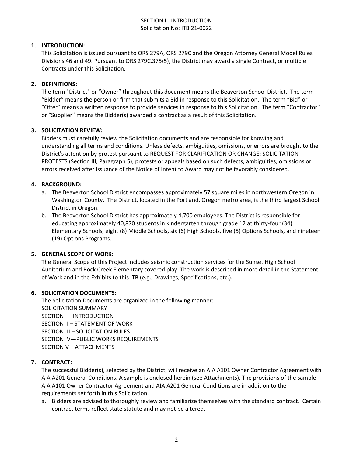#### SECTION I - INTRODUCTION Solicitation No: ITB 21-0022

#### **1. INTRODUCTION:**

This Solicitation is issued pursuant to ORS 279A, ORS 279C and the Oregon Attorney General Model Rules Divisions 46 and 49. Pursuant to ORS 279C.375(5), the District may award a single Contract, or multiple Contracts under this Solicitation.

#### **2. DEFINITIONS:**

The term "District" or "Owner" throughout this document means the Beaverton School District. The term "Bidder" means the person or firm that submits a Bid in response to this Solicitation. The term "Bid" or "Offer" means a written response to provide services in response to this Solicitation. The term "Contractor" or "Supplier" means the Bidder(s) awarded a contract as a result of this Solicitation.

#### **3. SOLICITATION REVIEW:**

Bidders must carefully review the Solicitation documents and are responsible for knowing and understanding all terms and conditions. Unless defects, ambiguities, omissions, or errors are brought to the District's attention by protest pursuant to REQUEST FOR CLARIFICATION OR CHANGE; SOLICITATION PROTESTS (Section III, Paragraph 5), protests or appeals based on such defects, ambiguities, omissions or errors received after issuance of the Notice of Intent to Award may not be favorably considered.

#### **4. BACKGROUND:**

- a. The Beaverton School District encompasses approximately 57 square miles in northwestern Oregon in Washington County. The District, located in the Portland, Oregon metro area, is the third largest School District in Oregon.
- b. The Beaverton School District has approximately 4,700 employees. The District is responsible for educating approximately 40,870 students in kindergarten through grade 12 at thirty-four (34) Elementary Schools, eight (8) Middle Schools, six (6) High Schools, five (5) Options Schools, and nineteen (19) Options Programs.

#### **5. GENERAL SCOPE OF WORK:**

The General Scope of this Project includes seismic construction services for the Sunset High School Auditorium and Rock Creek Elementary covered play. The work is described in more detail in the Statement of Work and in the Exhibits to this ITB (e.g., Drawings, Specifications, etc.).

#### **6. SOLICITATION DOCUMENTS:**

The Solicitation Documents are organized in the following manner: SOLICITATION SUMMARY SECTION I – INTRODUCTION SECTION II – STATEMENT OF WORK SECTION III – SOLICITATION RULES SECTION IV—PUBLIC WORKS REQUIREMENTS SECTION V – ATTACHMENTS

#### **7. CONTRACT:**

The successful Bidder(s), selected by the District, will receive an AIA A101 Owner Contractor Agreement with AIA A201 General Conditions. A sample is enclosed herein (see Attachments). The provisions of the sample AIA A101 Owner Contractor Agreement and AIA A201 General Conditions are in addition to the requirements set forth in this Solicitation.

a. Bidders are advised to thoroughly review and familiarize themselves with the standard contract. Certain contract terms reflect state statute and may not be altered.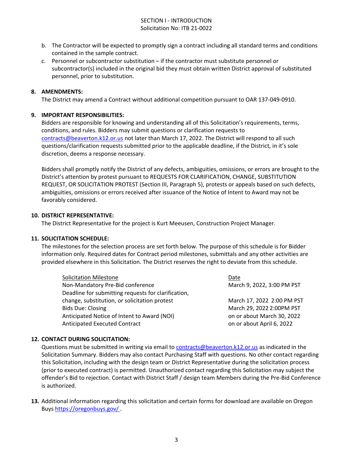#### SECTION I - INTRODUCTION Solicitation No: ITB 21-0022

- b. The Contractor will be expected to promptly sign a contract including all standard terms and conditions contained in the sample contract.
- c. Personnel or subcontractor substitution if the contractor must substitute personnel or subcontractor(s) included in the original bid they must obtain written District approval of substituted personnel, prior to substitution.

#### **8. AMENDMENTS:**

The District may amend a Contract without additional competition pursuant to OAR 137-049-0910.

#### **9. IMPORTANT RESPONSIBILITIES:**

Bidders are responsible for knowing and understanding all of this Solicitation's requirements, terms, conditions, and rules. Bidders may submit questions or clarification requests to [contracts@beaverton.k12.or.us](mailto:contracts@beaverton.k12.or.us) not later than March 17, 2022. The District will respond to all such questions/clarification requests submitted prior to the applicable deadline, if the District, in it's sole discretion, deems a response necessary.

Bidders shall promptly notify the District of any defects, ambiguities, omissions, or errors are brought to the District's attention by protest pursuant to REQUESTS FOR CLARIFICATION, CHANGE, SUBSTITUTION REQUEST, OR SOLICITATION PROTEST (Section III, Paragraph 5), protests or appeals based on such defects, ambiguities, omissions or errors received after issuance of the Notice of Intent to Award may not be favorably considered.

#### **10. DISTRICT REPRESENTATIVE:**

The District Representative for the project is Kurt Meeusen, Construction Project Manager.

#### **11. SOLICITATION SCHEDULE:**

The milestones for the selection process are set forth below. The purpose of this schedule is for Bidder information only. Required dates for Contract period milestones, submittals and any other activities are provided elsewhere in this Solicitation. The District reserves the right to deviate from this schedule.

| <b>Solicitation Milestone</b>                       | Date                       |
|-----------------------------------------------------|----------------------------|
| Non-Mandatory Pre-Bid conference                    | March 9, 2022, 3:00 PM PST |
| Deadline for submitting requests for clarification, |                            |
| change, substitution, or solicitation protest       | March 17, 2022 2:00 PM PST |
| <b>Bids Due: Closing</b>                            | March 29, 2022 2:00PM PST  |
| Anticipated Notice of Intent to Award (NOI)         | on or about March 30, 2022 |
| <b>Anticipated Executed Contract</b>                | on or about April 6, 2022  |

#### **12. CONTACT DURING SOLICITATION:**

Questions must be submitted in writing via email to [contracts@beaverton.k12.or.us](mailto:contracts@beaverton.k12.or.us) as indicated in the Solicitation Summary. Bidders may also contact Purchasing Staff with questions. No other contact regarding this Solicitation, including with the design team or District Representative during the solicitation process (prior to executed contract) is permitted. Unauthorized contact regarding this Solicitation may subject the offender's Bid to rejection. Contact with District Staff / design team Members during the Pre-Bid Conference is authorized.

**13.** Additional information regarding this solicitation and certain forms for download are available on Oregon Buys <https://oregonbuys.gov/> .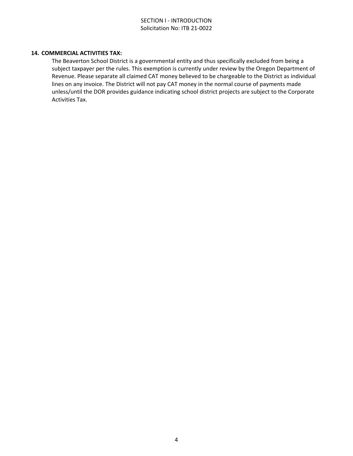#### SECTION I - INTRODUCTION Solicitation No: ITB 21-0022

#### **14. COMMERCIAL ACTIVITIES TAX:**

The Beaverton School District is a governmental entity and thus specifically excluded from being a subject taxpayer per the rules. This exemption is currently under review by the Oregon Department of Revenue. Please separate all claimed CAT money believed to be chargeable to the District as individual lines on any invoice. The District will not pay CAT money in the normal course of payments made unless/until the DOR provides guidance indicating school district projects are subject to the Corporate Activities Tax.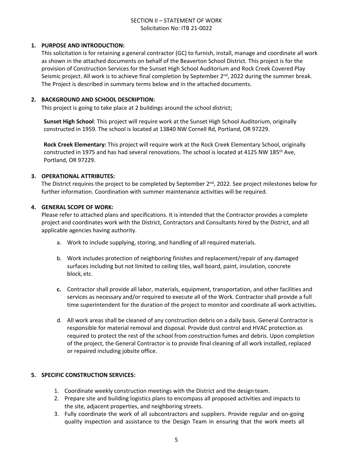#### **1. PURPOSE AND INTRODUCTION:**

This solicitation is for retaining a general contractor (GC) to furnish, install, manage and coordinate all work as shown in the attached documents on behalf of the Beaverton School District. This project is for the provision of Construction Services for the Sunset High School Auditorium and Rock Creek Covered Play Seismic project. All work is to achieve final completion by September  $2<sup>nd</sup>$ , 2022 during the summer break. The Project is described in summary terms below and in the attached documents.

#### **2. BACKGROUND AND SCHOOL DESCRIPTION:**

This project is going to take place at 2 buildings around the school district;

**Sunset High School**: This project will require work at the Sunset High School Auditorium, originally constructed in 1959. The school is located at 13840 NW Cornell Rd, Portland, OR 97229.

**Rock Creek Elementary:** This project will require work at the Rock Creek Elementary School, originally constructed in 1975 and has had several renovations. The school is located at 4125 NW 185th Ave, Portland, OR 97229.

#### **3. OPERATIONAL ATTRIBUTES:**

The District requires the project to be completed by September 2<sup>nd</sup>, 2022. See project milestones below for further information. Coordination with summer maintenance activities will be required.

#### **4. GENERAL SCOPE OF WORK:**

Please refer to attached plans and specifications. It is intended that the Contractor provides a complete project and coordinates work with the District, Contractors and Consultants hired by the District, and all applicable agencies having authority.

- a. Work to include supplying, storing, and handling of all required materials.
- b. Work includes protection of neighboring finishes and replacement/repair of any damaged surfaces including but not limited to ceiling tiles, wall board, paint, insulation, concrete block, etc.
- **c.** Contractor shall provide all labor, materials, equipment, transportation, and other facilities and services as necessary and/or required to execute all of the Work. Contractor shall provide a full time superintendent for the duration of the project to monitor and coordinate all work activities**.**
- d. All work areas shall be cleaned of any construction debris on a daily basis. General Contractor is responsible for material removal and disposal. Provide dust control and HVAC protection as required to protect the rest of the school from construction fumes and debris. Upon completion of the project, the General Contractor is to provide final cleaning of all work installed, replaced or repaired including jobsite office.

#### **5. SPECIFIC CONSTRUCTION SERVICES:**

- 1. Coordinate weekly construction meetings with the District and the design team.
- 2. Prepare site and building logistics plans to encompass all proposed activities and impacts to the site, adjacent properties, and neighboring streets.
- 3. Fully coordinate the work of all subcontractors and suppliers. Provide regular and on-going quality inspection and assistance to the Design Team in ensuring that the work meets all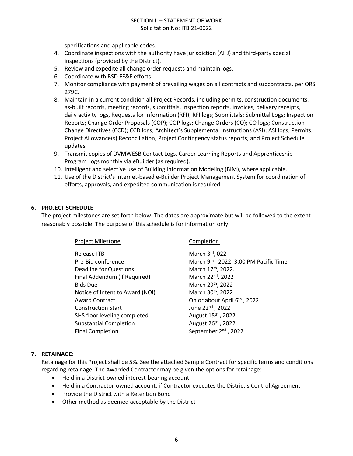specifications and applicable codes.

- 4. Coordinate inspections with the authority have jurisdiction (AHJ) and third-party special inspections (provided by the District).
- 5. Review and expedite all change order requests and maintain logs.
- 6. Coordinate with BSD FF&E efforts.
- 7. Monitor compliance with payment of prevailing wages on all contracts and subcontracts, per ORS 279C.
- 8. Maintain in a current condition all Project Records, including permits, construction documents, as-built records, meeting records, submittals, inspection reports, invoices, delivery receipts, daily activity logs, Requests for Information (RFI); RFI logs; Submittals; Submittal Logs; Inspection Reports; Change Order Proposals (COP); COP logs; Change Orders (CO); CO logs; Construction Change Directives (CCD); CCD logs; Architect's Supplemental Instructions (ASI); ASI logs; Permits; Project Allowance(s) Reconciliation; Project Contingency status reports; and Project Schedule updates.
- 9. Transmit copies of DVMWESB Contact Logs, Career Learning Reports and Apprenticeship Program Logs monthly via eBuilder (as required).
- 10. Intelligent and selective use of Building Information Modeling (BIM), where applicable.
- 11. Use of the District's internet-based e-Builder Project Management System for coordination of efforts, approvals, and expedited communication is required.

#### **6. PROJECT SCHEDULE**

The project milestones are set forth below. The dates are approximate but will be followed to the extent reasonably possible. The purpose of this schedule is for information only.

| Project Milestone               | Completion                            |
|---------------------------------|---------------------------------------|
| Release ITB                     | March 3rd, 022                        |
| Pre-Bid conference              | March 9th, 2022, 3:00 PM Pacific Time |
| Deadline for Questions          | March 17th, 2022.                     |
| Final Addendum (if Required)    | March 22 <sup>nd</sup> , 2022         |
| <b>Bids Due</b>                 | March 29th, 2022                      |
| Notice of Intent to Award (NOI) | March 30 <sup>th</sup> , 2022         |
| <b>Award Contract</b>           | On or about April 6th, 2022           |
| <b>Construction Start</b>       | June 22nd, 2022                       |
| SHS floor leveling completed    | August 15 <sup>th</sup> , 2022        |
| <b>Substantial Completion</b>   | August 26th, 2022                     |
| <b>Final Completion</b>         | September 2 <sup>nd</sup> , 2022      |
|                                 |                                       |

#### **7. RETAINAGE:**

Retainage for this Project shall be 5%. See the attached Sample Contract for specific terms and conditions regarding retainage. The Awarded Contractor may be given the options for retainage:

- Held in a District-owned interest-bearing account
- Held in a Contractor-owned account, if Contractor executes the District's Control Agreement
- Provide the District with a Retention Bond
- Other method as deemed acceptable by the District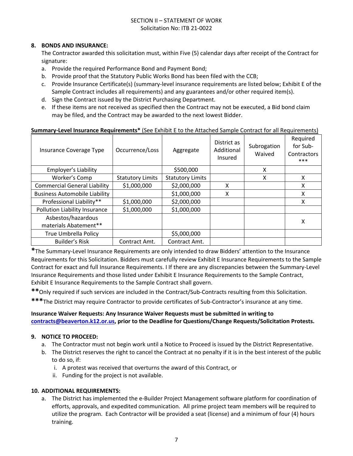#### **8. BONDS AND INSURANCE:**

The Contractor awarded this solicitation must, within Five (5) calendar days after receipt of the Contract for signature:

- a. Provide the required Performance Bond and Payment Bond;
- b. Provide proof that the Statutory Public Works Bond has been filed with the CCB;
- c. Provide Insurance Certificate(s) (summary-level insurance requirements are listed below; Exhibit E of the Sample Contract includes all requirements) and any guarantees and/or other required item(s).
- d. Sign the Contract issued by the District Purchasing Department.
- e. If these items are not received as specified then the Contract may not be executed, a Bid bond claim may be filed, and the Contract may be awarded to the next lowest Bidder.

#### **Summary-Level Insurance Requirements\*** (See Exhibit E to the Attached Sample Contract for all Requirements)

| Insurance Coverage Type              | Occurrence/Loss         | Aggregate               | District as<br>Additional<br>Insured | Subrogation<br>Waived | Required<br>for Sub-<br>Contractors<br>*** |
|--------------------------------------|-------------------------|-------------------------|--------------------------------------|-----------------------|--------------------------------------------|
| <b>Employer's Liability</b>          |                         | \$500,000               |                                      | X                     |                                            |
| Worker's Comp                        | <b>Statutory Limits</b> | <b>Statutory Limits</b> |                                      | X                     | x                                          |
| <b>Commercial General Liability</b>  | \$1,000,000             | \$2,000,000             | x                                    |                       | X                                          |
| <b>Business Automobile Liability</b> |                         | \$1,000,000             | X                                    |                       | X                                          |
| Professional Liability**             | \$1,000,000             | \$2,000,000             |                                      |                       | x                                          |
| Pollution Liability Insurance        | \$1,000,000             | \$1,000,000             |                                      |                       |                                            |
| Asbestos/hazardous                   |                         |                         |                                      |                       |                                            |
| materials Abatement**                |                         |                         |                                      |                       | Χ                                          |
| <b>True Umbrella Policy</b>          |                         | \$5,000,000             |                                      |                       |                                            |
| <b>Builder's Risk</b>                | Contract Amt.           | Contract Amt.           |                                      |                       |                                            |

**\***The Summary-Level Insurance Requirements are only intended to draw Bidders' attention to the Insurance Requirements for this Solicitation. Bidders must carefully review Exhibit E Insurance Requirements to the Sample Contract for exact and full Insurance Requirements. I If there are any discrepancies between the Summary-Level Insurance Requirements and those listed under Exhibit E Insurance Requirements to the Sample Contract, Exhibit E Insurance Requirements to the Sample Contract shall govern.

**\*\***Only required if such services are included in the Contract/Sub-Contracts resulting from this Solicitation.

**\*\*\***The District may require Contractor to provide certificates of Sub-Contractor's insurance at any time.

#### **Insurance Waiver Requests: Any Insurance Waiver Requests must be submitted in writing to [contracts@beaverton.k12.or.us,](mailto:contracts@beaverton.k12.or.us) prior to the Deadline for Questions/Change Requests/Solicitation Protests.**

#### **9. NOTICE TO PROCEED:**

- a. The Contractor must not begin work until a Notice to Proceed is issued by the District Representative.
- b. The District reserves the right to cancel the Contract at no penalty if it is in the best interest of the public to do so, if:
	- i. A protest was received that overturns the award of this Contract, or
	- ii. Funding for the project is not available.

#### **10. ADDITIONAL REQUIREMENTS:**

a. The District has implemented the e-Builder Project Management software platform for coordination of efforts, approvals, and expedited communication. All prime project team members will be required to utilize the program. Each Contractor will be provided a seat (license) and a minimum of four (4) hours training.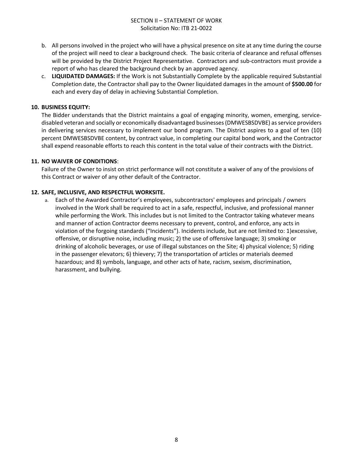- b. All persons involved in the project who will have a physical presence on site at any time during the course of the project will need to clear a background check. The basic criteria of clearance and refusal offenses will be provided by the District Project Representative. Contractors and sub-contractors must provide a report of who has cleared the background check by an approved agency.
- c. **LIQUIDATED DAMAGES:** If the Work is not Substantially Complete by the applicable required Substantial Completion date, the Contractor shall pay to the Owner liquidated damages in the amount of **\$500.00** for each and every day of delay in achieving Substantial Completion.

#### **10. BUSINESS EQUITY:**

The Bidder understands that the District maintains a goal of engaging minority, women, emerging, servicedisabled veteran and socially or economically disadvantaged businesses (DMWESBSDVBE) as service providers in delivering services necessary to implement our bond program. The District aspires to a goal of ten (10) percent DMWESBSDVBE content, by contract value, in completing our capital bond work, and the Contractor shall expend reasonable efforts to reach this content in the total value of their contracts with the District.

#### **11. NO WAIVER OF CONDITIONS**:

Failure of the Owner to insist on strict performance will not constitute a waiver of any of the provisions of this Contract or waiver of any other default of the Contractor.

#### **12. SAFE, INCLUSIVE, AND RESPECTFUL WORKSITE.**

a. Each of the Awarded Contractor's employees, subcontractors' employees and principals / owners involved in the Work shall be required to act in a safe, respectful, inclusive, and professional manner while performing the Work. This includes but is not limited to the Contractor taking whatever means and manner of action Contractor deems necessary to prevent, control, and enforce, any acts in violation of the forgoing standards ("Incidents"). Incidents include, but are not limited to: 1)excessive, offensive, or disruptive noise, including music; 2) the use of offensive language; 3) smoking or drinking of alcoholic beverages, or use of illegal substances on the Site; 4) physical violence; 5) riding in the passenger elevators; 6) thievery; 7) the transportation of articles or materials deemed hazardous; and 8) symbols, language, and other acts of hate, racism, sexism, discrimination, harassment, and bullying.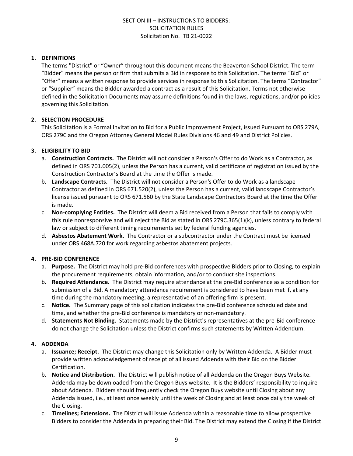#### **1. DEFINITIONS**

The terms "District" or "Owner" throughout this document means the Beaverton School District. The term "Bidder" means the person or firm that submits a Bid in response to this Solicitation. The terms "Bid" or "Offer" means a written response to provide services in response to this Solicitation. The terms "Contractor" or "Supplier" means the Bidder awarded a contract as a result of this Solicitation. Terms not otherwise defined in the Solicitation Documents may assume definitions found in the laws, regulations, and/or policies governing this Solicitation.

#### **2. SELECTION PROCEDURE**

This Solicitation is a Formal Invitation to Bid for a Public Improvement Project, issued Pursuant to ORS 279A, ORS 279C and the Oregon Attorney General Model Rules Divisions 46 and 49 and District Policies.

#### **3. ELIGIBILITY TO BID**

- a. **Construction Contracts.** The District will not consider a Person's Offer to do Work as a Contractor, as defined in ORS 701.005(2), unless the Person has a current, valid certificate of registration issued by the Construction Contractor's Board at the time the Offer is made.
- b. **Landscape Contracts.** The District will not consider a Person's Offer to do Work as a landscape Contractor as defined in ORS 671.520(2), unless the Person has a current, valid landscape Contractor's license issued pursuant to ORS 671.560 by the State Landscape Contractors Board at the time the Offer is made.
- c. **Non-complying Entities.** The District will deem a Bid received from a Person that fails to comply with this rule nonresponsive and will reject the Bid as stated in ORS 279C.365(1)(k), unless contrary to federal law or subject to different timing requirements set by federal funding agencies.
- d. **Asbestos Abatement Work.** The Contractor or a subcontractor under the Contract must be licensed under ORS 468A.720 for work regarding asbestos abatement projects.

#### **4. PRE-BID CONFERENCE**

- a. **Purpose.** The District may hold pre-Bid conferences with prospective Bidders prior to Closing, to explain the procurement requirements, obtain information, and/or to conduct site inspections.
- b. **Required Attendance.** The District may require attendance at the pre-Bid conference as a condition for submission of a Bid. A mandatory attendance requirement is considered to have been met if, at any time during the mandatory meeting, a representative of an offering firm is present.
- c. **Notice.** The Summary page of this solicitation indicates the pre-Bid conference scheduled date and time, and whether the pre-Bid conference is mandatory or non-mandatory.
- d. **Statements Not Binding.** Statements made by the District's representatives at the pre-Bid conference do not change the Solicitation unless the District confirms such statements by Written Addendum.

#### **4. ADDENDA**

- a. **Issuance; Receipt.** The District may change this Solicitation only by Written Addenda. A Bidder must provide written acknowledgement of receipt of all issued Addenda with their Bid on the Bidder Certification.
- b. **Notice and Distribution.** The District will publish notice of all Addenda on the Oregon Buys Website. Addenda may be downloaded from the Oregon Buys website. It is the Bidders' responsibility to inquire about Addenda. Bidders should frequently check the Oregon Buys website until Closing about any Addenda issued, i.e., at least once weekly until the week of Closing and at least once daily the week of the Closing.
- c. **Timelines; Extensions.** The District will issue Addenda within a reasonable time to allow prospective Bidders to consider the Addenda in preparing their Bid. The District may extend the Closing if the District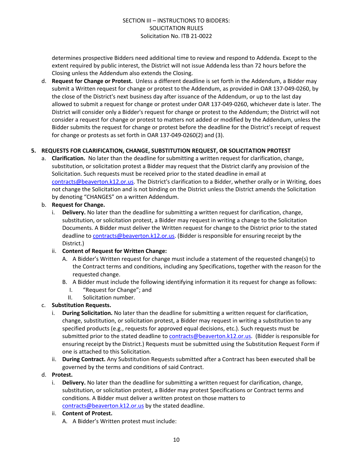determines prospective Bidders need additional time to review and respond to Addenda. Except to the extent required by public interest, the District will not issue Addenda less than 72 hours before the Closing unless the Addendum also extends the Closing.

d. **Request for Change or Protest.** Unless a different deadline is set forth in the Addendum, a Bidder may submit a Written request for change or protest to the Addendum, as provided in OAR 137-049-0260, by the close of the District's next business day after issuance of the Addendum, or up to the last day allowed to submit a request for change or protest under OAR 137-049-0260, whichever date is later. The District will consider only a Bidder's request for change or protest to the Addendum; the District will not consider a request for change or protest to matters not added or modified by the Addendum, unless the Bidder submits the request for change or protest before the deadline for the District's receipt of request for change or protests as set forth in OAR 137-049-0260(2) and (3).

#### **5. REQUESTS FOR CLARIFICATION, CHANGE, SUBSTITUTION REQUEST, OR SOLICITATION PROTEST**

a. **Clarification.** No later than the deadline for submitting a written request for clarification, change, substitution, or solicitation protest a Bidder may request that the District clarify any provision of the Solicitation. Such requests must be received prior to the stated deadline in email at [contracts@beaverton.k12.or.us.](mailto:contracts@beaverton.k12.or.us) The District's clarification to a Bidder, whether orally or in Writing, does not change the Solicitation and is not binding on the District unless the District amends the Solicitation by denoting "CHANGES" on a written Addendum.

#### b. **Request for Change.**

i. **Delivery.** No later than the deadline for submitting a written request for clarification, change, substitution, or solicitation protest, a Bidder may request in writing a change to the Solicitation Documents. A Bidder must deliver the Written request for change to the District prior to the stated deadline to [contracts@beaverton.k12.or.us.](mailto:contracts@beaverton.k12.or.us) (Bidder is responsible for ensuring receipt by the District.)

#### ii. **Content of Request for Written Change:**

- A. A Bidder's Written request for change must include a statement of the requested change(s) to the Contract terms and conditions, including any Specifications, together with the reason for the requested change.
- B. A Bidder must include the following identifying information it its request for change as follows:
	- I. "Request for Change"; and
	- II. Solicitation number.

#### c. **Substitution Requests.**

- i. **During Solicitation.** No later than the deadline for submitting a written request for clarification, change, substitution, or solicitation protest, a Bidder may request in writing a substitution to any specified products (e.g., requests for approved equal decisions, etc.). Such requests must be submitted prior to the stated deadline to [contracts@beaverton.k12.or.us](mailto:contracts@beaverton.k12.or.us). (Bidder is responsible for ensuring receipt by the District.) Requests must be submitted using the Substitution Request Form if one is attached to this Solicitation.
- ii. **During Contract.** Any Substitution Requests submitted after a Contract has been executed shall be governed by the terms and conditions of said Contract.

#### d. **Protest.**

i. **Delivery.** No later than the deadline for submitting a written request for clarification, change, substitution, or solicitation protest, a Bidder may protest Specifications or Contract terms and conditions. A Bidder must deliver a written protest on those matters to [contracts@beaverton.k12.or.us](mailto:contracts@beaverton.k12.or.us) by the stated deadline.

#### ii. **Content of Protest.**

A. A Bidder's Written protest must include: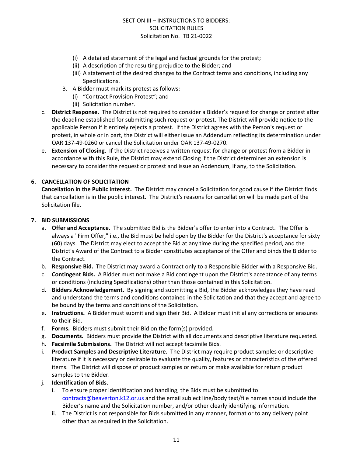- (i) A detailed statement of the legal and factual grounds for the protest;
- (ii) A description of the resulting prejudice to the Bidder; and
- (iii) A statement of the desired changes to the Contract terms and conditions, including any Specifications.
- B. A Bidder must mark its protest as follows:
	- (i) "Contract Provision Protest"; and
	- (ii) Solicitation number.
- c. **District Response.** The District is not required to consider a Bidder's request for change or protest after the deadline established for submitting such request or protest. The District will provide notice to the applicable Person if it entirely rejects a protest. If the District agrees with the Person's request or protest, in whole or in part, the District will either issue an Addendum reflecting its determination under OAR 137-49-0260 or cancel the Solicitation under OAR 137-49-0270.
- e. **Extension of Closing.** If the District receives a written request for change or protest from a Bidder in accordance with this Rule, the District may extend Closing if the District determines an extension is necessary to consider the request or protest and issue an Addendum, if any, to the Solicitation.

#### **6. CANCELLATION OF SOLICITATION**

**Cancellation in the Public Interest.** The District may cancel a Solicitation for good cause if the District finds that cancellation is in the public interest. The District's reasons for cancellation will be made part of the Solicitation file.

#### **7. BID SUBMISSIONS**

- a. **Offer and Acceptance.** The submitted Bid is the Bidder's offer to enter into a Contract. The Offer is always a "Firm Offer," i.e., the Bid must be held open by the Bidder for the District's acceptance for sixty (60) days. The District may elect to accept the Bid at any time during the specified period, and the District's Award of the Contract to a Bidder constitutes acceptance of the Offer and binds the Bidder to the Contract.
- b. **Responsive Bid.** The District may award a Contract only to a Responsible Bidder with a Responsive Bid.
- c. **Contingent Bids.** A Bidder must not make a Bid contingent upon the District's acceptance of any terms or conditions (including Specifications) other than those contained in this Solicitation.
- d. **Bidders Acknowledgement.** By signing and submitting a Bid, the Bidder acknowledges they have read and understand the terms and conditions contained in the Solicitation and that they accept and agree to be bound by the terms and conditions of the Solicitation.
- e. **Instructions.** A Bidder must submit and sign their Bid. A Bidder must initial any corrections or erasures to their Bid.
- f. **Forms.** Bidders must submit their Bid on the form(s) provided.
- g. **Documents.** Bidders must provide the District with all documents and descriptive literature requested.
- h. **Facsimile Submissions.** The District will not accept facsimile Bids.
- i. **Product Samples and Descriptive Literature.** The District may require product samples or descriptive literature if it is necessary or desirable to evaluate the quality, features or characteristics of the offered items. The District will dispose of product samples or return or make available for return product samples to the Bidder.
- j. **Identification of Bids.**
	- i. To ensure proper identification and handling, the Bids must be submitted to [contracts@beaverton.k12.or.us](mailto:contracts@beaverton.k12.or.us) and the email subject line/body text/file names should include the Bidder's name and the Solicitation number, and/or other clearly identifying information.
	- ii. The District is not responsible for Bids submitted in any manner, format or to any delivery point other than as required in the Solicitation.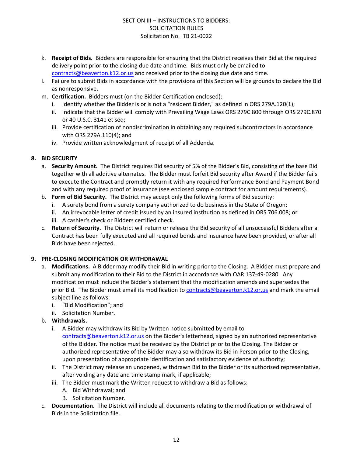- k. **Receipt of Bids.** Bidders are responsible for ensuring that the District receives their Bid at the required delivery point prior to the closing due date and time. Bids must only be emailed to [contracts@beaverton.k12.or.us](mailto:contracts@beaverton.k12.or.us) and received prior to the closing due date and time.
- l. Failure to submit Bids in accordance with the provisions of this Section will be grounds to declare the Bid as nonresponsive.
- m. **Certification.** Bidders must (on the Bidder Certification enclosed):
	- i. Identify whether the Bidder is or is not a "resident Bidder," as defined in ORS 279A.120(1);
	- ii. Indicate that the Bidder will comply with Prevailing Wage Laws ORS 279C.800 through ORS 279C.870 or 40 U.S.C. 3141 et seq;
	- iii. Provide certification of nondiscrimination in obtaining any required subcontractors in accordance with ORS 279A.110(4); and
	- iv. Provide written acknowledgment of receipt of all Addenda.

#### **8. BID SECURITY**

- a. **Security Amount.** The District requires Bid security of 5% of the Bidder's Bid, consisting of the base Bid together with all additive alternates. The Bidder must forfeit Bid security after Award if the Bidder fails to execute the Contract and promptly return it with any required Performance Bond and Payment Bond and with any required proof of insurance (see enclosed sample contract for amount requirements).
- b. **Form of Bid Security.** The District may accept only the following forms of Bid security:
	- i. A surety bond from a surety company authorized to do business in the State of Oregon;
	- ii. An irrevocable letter of credit issued by an insured institution as defined in ORS 706.008; or
	- iii. A cashier's check or Bidders certified check.
- c. **Return of Security.** The District will return or release the Bid security of all unsuccessful Bidders after a Contract has been fully executed and all required bonds and insurance have been provided, or after all Bids have been rejected.

#### **9. PRE-CLOSING MODIFICATION OR WITHDRAWAL**

- a. **Modifications.** A Bidder may modify their Bid in writing prior to the Closing. A Bidder must prepare and submit any modification to their Bid to the District in accordance with OAR 137-49-0280. Any modification must include the Bidder's statement that the modification amends and supersedes the prior Bid. The Bidder must email its modification to [contracts@beaverton.k12.or.us](mailto:contracts@beaverton.k12.or.us) and mark the email subject line as follows:
	- i. "Bid Modification"; and
	- ii. Solicitation Number.
- b. **Withdrawals.**
	- i. A Bidder may withdraw its Bid by Written notice submitted by email to [contracts@beaverton.k12.or.us](mailto:contracts@beaverton.k12.or.us) on the Bidder's letterhead, signed by an authorized representative of the Bidder. The notice must be received by the District prior to the Closing. The Bidder or authorized representative of the Bidder may also withdraw its Bid in Person prior to the Closing, upon presentation of appropriate identification and satisfactory evidence of authority;
	- ii. The District may release an unopened, withdrawn Bid to the Bidder or its authorized representative, after voiding any date and time stamp mark, if applicable;
	- iii. The Bidder must mark the Written request to withdraw a Bid as follows:
		- A. Bid Withdrawal; and
		- B. Solicitation Number.
- c. **Documentation.** The District will include all documents relating to the modification or withdrawal of Bids in the Solicitation file.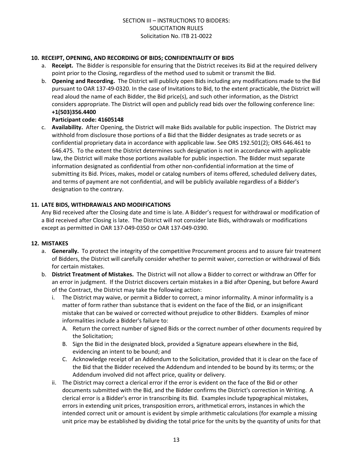#### **10. RECEIPT, OPENING, AND RECORDING OF BIDS; CONFIDENTIALITY OF BIDS**

- a. **Receipt.** The Bidder is responsible for ensuring that the District receives its Bid at the required delivery point prior to the Closing, regardless of the method used to submit or transmit the Bid.
- b. **Opening and Recording.** The District will publicly open Bids including any modifications made to the Bid pursuant to OAR 137-49-0320. In the case of Invitations to Bid, to the extent practicable, the District will read aloud the name of each Bidder, the Bid price(s), and such other information, as the District considers appropriate. The District will open and publicly read bids over the following conference line: **+1(503)356.4400**

#### **Participant code: 41605148**

c. **Availability.** After Opening, the District will make Bids available for public inspection. The District may withhold from disclosure those portions of a Bid that the Bidder designates as trade secrets or as confidential proprietary data in accordance with applicable law. See ORS 192.501(2); ORS 646.461 to 646.475. To the extent the District determines such designation is not in accordance with applicable law, the District will make those portions available for public inspection. The Bidder must separate information designated as confidential from other non-confidential information at the time of submitting its Bid. Prices, makes, model or catalog numbers of items offered, scheduled delivery dates, and terms of payment are not confidential, and will be publicly available regardless of a Bidder's designation to the contrary.

#### **11. LATE BIDS, WITHDRAWALS AND MODIFICATIONS**

Any Bid received after the Closing date and time is late. A Bidder's request for withdrawal or modification of a Bid received after Closing is late. The District will not consider late Bids, withdrawals or modifications except as permitted in OAR 137-049-0350 or OAR 137-049-0390.

#### **12. MISTAKES**

- a. **Generally.** To protect the integrity of the competitive Procurement process and to assure fair treatment of Bidders, the District will carefully consider whether to permit waiver, correction or withdrawal of Bids for certain mistakes.
- b. **District Treatment of Mistakes.** The District will not allow a Bidder to correct or withdraw an Offer for an error in judgment. If the District discovers certain mistakes in a Bid after Opening, but before Award of the Contract, the District may take the following action:
	- i. The District may waive, or permit a Bidder to correct, a minor informality. A minor informality is a matter of form rather than substance that is evident on the face of the Bid, or an insignificant mistake that can be waived or corrected without prejudice to other Bidders. Examples of minor informalities include a Bidder's failure to:
		- A. Return the correct number of signed Bids or the correct number of other documents required by the Solicitation;
		- B. Sign the Bid in the designated block, provided a Signature appears elsewhere in the Bid, evidencing an intent to be bound; and
		- C. Acknowledge receipt of an Addendum to the Solicitation, provided that it is clear on the face of the Bid that the Bidder received the Addendum and intended to be bound by its terms; or the Addendum involved did not affect price, quality or delivery.
	- ii. The District may correct a clerical error if the error is evident on the face of the Bid or other documents submitted with the Bid, and the Bidder confirms the District's correction in Writing. A clerical error is a Bidder's error in transcribing its Bid. Examples include typographical mistakes, errors in extending unit prices, transposition errors, arithmetical errors, instances in which the intended correct unit or amount is evident by simple arithmetic calculations (for example a missing unit price may be established by dividing the total price for the units by the quantity of units for that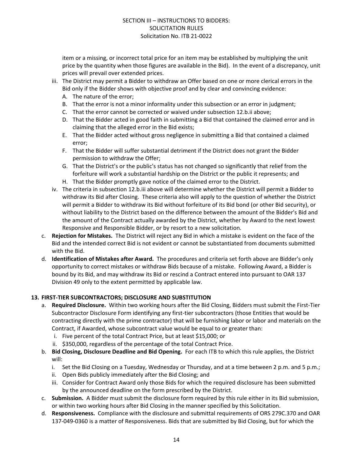item or a missing, or incorrect total price for an item may be established by multiplying the unit price by the quantity when those figures are available in the Bid). In the event of a discrepancy, unit prices will prevail over extended prices.

- iii. The District may permit a Bidder to withdraw an Offer based on one or more clerical errors in the Bid only if the Bidder shows with objective proof and by clear and convincing evidence:
	- A. The nature of the error;
	- B. That the error is not a minor informality under this subsection or an error in judgment;
	- C. That the error cannot be corrected or waived under subsection 12.b.ii above;
	- D. That the Bidder acted in good faith in submitting a Bid that contained the claimed error and in claiming that the alleged error in the Bid exists;
	- E. That the Bidder acted without gross negligence in submitting a Bid that contained a claimed error;
	- F. That the Bidder will suffer substantial detriment if the District does not grant the Bidder permission to withdraw the Offer;
	- G. That the District's or the public's status has not changed so significantly that relief from the forfeiture will work a substantial hardship on the District or the public it represents; and
	- H. That the Bidder promptly gave notice of the claimed error to the District.
- iv. The criteria in subsection 12.b.iii above will determine whether the District will permit a Bidder to withdraw its Bid after Closing. These criteria also will apply to the question of whether the District will permit a Bidder to withdraw its Bid without forfeiture of its Bid bond (or other Bid security), or without liability to the District based on the difference between the amount of the Bidder's Bid and the amount of the Contract actually awarded by the District, whether by Award to the next lowest Responsive and Responsible Bidder, or by resort to a new solicitation.
- c. **Rejection for Mistakes.** The District will reject any Bid in which a mistake is evident on the face of the Bid and the intended correct Bid is not evident or cannot be substantiated from documents submitted with the Bid.
- d. **Identification of Mistakes after Award.** The procedures and criteria set forth above are Bidder's only opportunity to correct mistakes or withdraw Bids because of a mistake. Following Award, a Bidder is bound by its Bid, and may withdraw its Bid or rescind a Contract entered into pursuant to OAR 137 Division 49 only to the extent permitted by applicable law.

#### **13. FIRST-TIER SUBCONTRACTORS; DISCLOSURE AND SUBSTITUTION**

- a. **Required Disclosure.** Within two working hours after the Bid Closing, Bidders must submit the First-Tier Subcontractor Disclosure Form identifying any first-tier subcontractors (those Entities that would be contracting directly with the prime contractor) that will be furnishing labor or labor and materials on the Contract, if Awarded, whose subcontract value would be equal to or greater than:
	- i. Five percent of the total Contract Price, but at least \$15,000; or
	- ii. \$350,000, regardless of the percentage of the total Contract Price.
- b. **Bid Closing, Disclosure Deadline and Bid Opening.** For each ITB to which this rule applies, the District will:
	- i. Set the Bid Closing on a Tuesday, Wednesday or Thursday, and at a time between 2 p.m. and 5 p.m.;
	- ii. Open Bids publicly immediately after the Bid Closing; and
	- iii. Consider for Contract Award only those Bids for which the required disclosure has been submitted by the announced deadline on the form prescribed by the District.
- c. **Submission.** A Bidder must submit the disclosure form required by this rule either in its Bid submission, or within two working hours after Bid Closing in the manner specified by this Solicitation.
- d. **Responsiveness.** Compliance with the disclosure and submittal requirements of ORS 279C.370 and OAR 137-049-0360 is a matter of Responsiveness. Bids that are submitted by Bid Closing, but for which the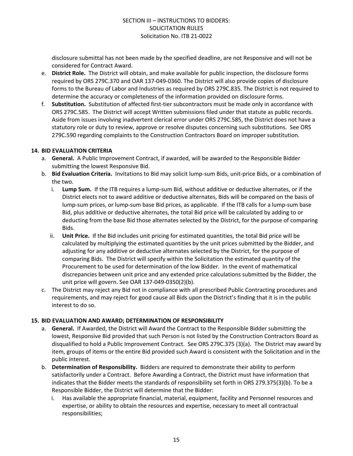disclosure submittal has not been made by the specified deadline, are not Responsive and will not be considered for Contract Award.

- e. **District Role.** The District will obtain, and make available for public inspection, the disclosure forms required by ORS 279C.370 and OAR 137-049-0360. The District will also provide copies of disclosure forms to the Bureau of Labor and Industries as required by ORS 279C.835. The District is not required to determine the accuracy or completeness of the information provided on disclosure forms.
- f. **Substitution.** Substitution of affected first-tier subcontractors must be made only in accordance with ORS 279C.585. The District will accept Written submissions filed under that statute as public records. Aside from issues involving inadvertent clerical error under ORS 279C.585, the District does not have a statutory role or duty to review, approve or resolve disputes concerning such substitutions. See ORS 279C.590 regarding complaints to the Construction Contractors Board on improper substitution.

#### **14. BID EVALUATION CRITERIA**

- a. **General.** A Public Improvement Contract, if awarded, will be awarded to the Responsible Bidder submitting the lowest Responsive Bid.
- b. **Bid Evaluation Criteria.** Invitations to Bid may solicit lump-sum Bids, unit-price Bids, or a combination of the two.
	- i. **Lump Sum.** If the ITB requires a lump-sum Bid, without additive or deductive alternates, or if the District elects not to award additive or deductive alternates, Bids will be compared on the basis of lump-sum prices, or lump-sum base Bid prices, as applicable. If the ITB calls for a lump-sum base Bid, plus additive or deductive alternates, the total Bid price will be calculated by adding to or deducting from the base Bid those alternates selected by the District, for the purpose of comparing Bids.
	- ii. **Unit Price.** If the Bid includes unit pricing for estimated quantities, the total Bid price will be calculated by multiplying the estimated quantities by the unit prices submitted by the Bidder, and adjusting for any additive or deductive alternates selected by the District, for the purpose of comparing Bids. The District will specify within the Solicitation the estimated quantity of the Procurement to be used for determination of the low Bidder. In the event of mathematical discrepancies between unit price and any extended price calculations submitted by the Bidder, the unit price will govern. See OAR 137-049-0350(2)(b).
- c. The District may reject any Bid not in compliance with all prescribed Public Contracting procedures and requirements, and may reject for good cause all Bids upon the District's finding that it is in the public interest to do so.

#### **15. BID EVALUATION AND AWARD; DETERMINATION OF RESPONSIBILITY**

- a. **General.** If Awarded, the District will Award the Contract to the Responsible Bidder submitting the lowest, Responsive Bid provided that such Person is not listed by the Construction Contractors Board as disqualified to hold a Public Improvement Contract. See ORS 279C.375 (3)(a). The District may award by item, groups of items or the entire Bid provided such Award is consistent with the Solicitation and in the public interest.
- b. **Determination of Responsibility.** Bidders are required to demonstrate their ability to perform satisfactorily under a Contract. Before Awarding a Contract, the District must have information that indicates that the Bidder meets the standards of responsibility set forth in ORS 279.375(3)(b). To be a Responsible Bidder, the District will determine that the Bidder:
	- i. Has available the appropriate financial, material, equipment, facility and Personnel resources and expertise, or ability to obtain the resources and expertise, necessary to meet all contractual responsibilities;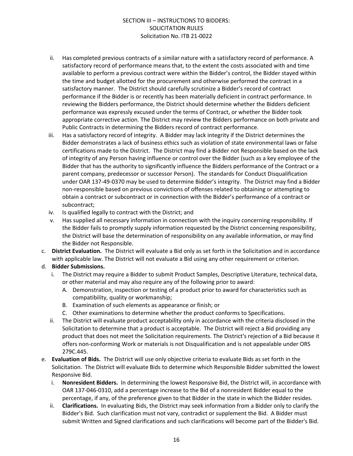- ii. Has completed previous contracts of a similar nature with a satisfactory record of performance. A satisfactory record of performance means that, to the extent the costs associated with and time available to perform a previous contract were within the Bidder's control, the Bidder stayed within the time and budget allotted for the procurement and otherwise performed the contract in a satisfactory manner. The District should carefully scrutinize a Bidder's record of contract performance if the Bidder is or recently has been materially deficient in contract performance. In reviewing the Bidders performance, the District should determine whether the Bidders deficient performance was expressly excused under the terms of Contract, or whether the Bidder took appropriate corrective action. The District may review the Bidders performance on both private and Public Contracts in determining the Bidders record of contract performance.
- iii. Has a satisfactory record of integrity. A Bidder may lack integrity if the District determines the Bidder demonstrates a lack of business ethics such as violation of state environmental laws or false certifications made to the District. The District may find a Bidder not Responsible based on the lack of integrity of any Person having influence or control over the Bidder (such as a key employee of the Bidder that has the authority to significantly influence the Bidders performance of the Contract or a parent company, predecessor or successor Person). The standards for Conduct Disqualification under OAR 137-49-0370 may be used to determine Bidder's integrity. The District may find a Bidder non-responsible based on previous convictions of offenses related to obtaining or attempting to obtain a contract or subcontract or in connection with the Bidder's performance of a contract or subcontract;
- iv. Is qualified legally to contract with the District; and
- v. Has supplied all necessary information in connection with the inquiry concerning responsibility. If the Bidder fails to promptly supply information requested by the District concerning responsibility, the District will base the determination of responsibility on any available information, or may find the Bidder not Responsible.
- c. **District Evaluation.** The District will evaluate a Bid only as set forth in the Solicitation and in accordance with applicable law. The District will not evaluate a Bid using any other requirement or criterion.

#### d. **Bidder Submissions.**

- i. The District may require a Bidder to submit Product Samples, Descriptive Literature, technical data, or other material and may also require any of the following prior to award:
	- A. Demonstration, inspection or testing of a product prior to award for characteristics such as compatibility, quality or workmanship;
	- B. Examination of such elements as appearance or finish; or
	- C. Other examinations to determine whether the product conforms to Specifications.
- ii. The District will evaluate product acceptability only in accordance with the criteria disclosed in the Solicitation to determine that a product is acceptable. The District will reject a Bid providing any product that does not meet the Solicitation requirements. The District's rejection of a Bid because it offers non-conforming Work or materials is not Disqualification and is not appealable under ORS 279C.445.
- e. **Evaluation of Bids.** The District will use only objective criteria to evaluate Bids as set forth in the Solicitation. The District will evaluate Bids to determine which Responsible Bidder submitted the lowest Responsive Bid.
	- i. **Nonresident Bidders.** In determining the lowest Responsive Bid, the District will, in accordance with OAR 137-046-0310, add a percentage increase to the Bid of a nonresident Bidder equal to the percentage, if any, of the preference given to that Bidder in the state in which the Bidder resides.
	- ii. **Clarifications.** In evaluating Bids, the District may seek information from a Bidder only to clarify the Bidder's Bid. Such clarification must not vary, contradict or supplement the Bid. A Bidder must submit Written and Signed clarifications and such clarifications will become part of the Bidder's Bid.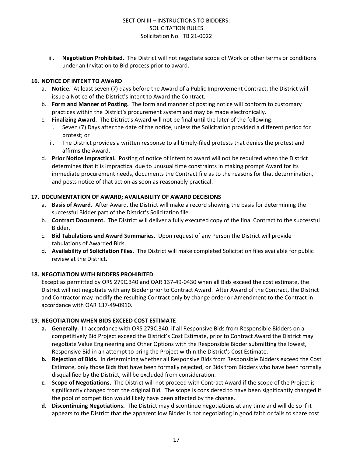iii. **Negotiation Prohibited.** The District will not negotiate scope of Work or other terms or conditions under an Invitation to Bid process prior to award.

#### **16. NOTICE OF INTENT TO AWARD**

- a. **Notice.** At least seven (7) days before the Award of a Public Improvement Contract, the District will issue a Notice of the District's intent to Award the Contract.
- b. **Form and Manner of Posting.** The form and manner of posting notice will conform to customary practices within the District's procurement system and may be made electronically.
- c. **Finalizing Award.** The District's Award will not be final until the later of the following:
	- Seven (7) Days after the date of the notice, unless the Solicitation provided a different period for protest; or
	- ii. The District provides a written response to all timely-filed protests that denies the protest and affirms the Award.
- d. **Prior Notice Impractical.** Posting of notice of intent to award will not be required when the District determines that it is impractical due to unusual time constraints in making prompt Award for its immediate procurement needs, documents the Contract file as to the reasons for that determination, and posts notice of that action as soon as reasonably practical.

#### **17. DOCUMENTATION OF AWARD; AVAILABILITY OF AWARD DECISIONS**

- a. **Basis of Award.** After Award, the District will make a record showing the basis for determining the successful Bidder part of the District's Solicitation file.
- b. **Contract Document.** The District will deliver a fully executed copy of the final Contract to the successful Bidder.
- c. **Bid Tabulations and Award Summaries.** Upon request of any Person the District will provide tabulations of Awarded Bids.
- d. **Availability of Solicitation Files.** The District will make completed Solicitation files available for public review at the District.

#### **18. NEGOTIATION WITH BIDDERS PROHIBITED**

Except as permitted by ORS 279C.340 and OAR 137-49-0430 when all Bids exceed the cost estimate, the District will not negotiate with any Bidder prior to Contract Award. After Award of the Contract, the District and Contractor may modify the resulting Contract only by change order or Amendment to the Contract in accordance with OAR 137-49-0910.

#### **19. NEGOTIATION WHEN BIDS EXCEED COST ESTIMATE**

- **a. Generally.** In accordance with ORS 279C.340, if all Responsive Bids from Responsible Bidders on a competitively Bid Project exceed the District's Cost Estimate, prior to Contract Award the District may negotiate Value Engineering and Other Options with the Responsible Bidder submitting the lowest, Responsive Bid in an attempt to bring the Project within the District's Cost Estimate.
- **b. Rejection of Bids.** In determining whether all Responsive Bids from Responsible Bidders exceed the Cost Estimate, only those Bids that have been formally rejected, or Bids from Bidders who have been formally disqualified by the District, will be excluded from consideration.
- **c. Scope of Negotiations.** The District will not proceed with Contract Award if the scope of the Project is significantly changed from the original Bid. The scope is considered to have been significantly changed if the pool of competition would likely have been affected by the change.
- **d. Discontinuing Negotiations.** The District may discontinue negotiations at any time and will do so if it appears to the District that the apparent low Bidder is not negotiating in good faith or fails to share cost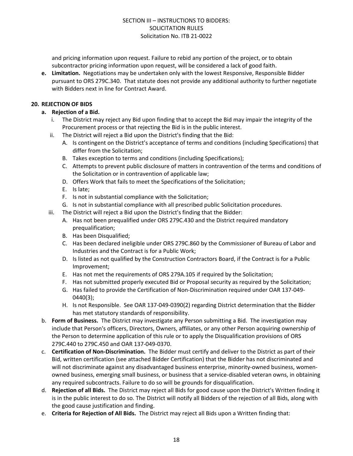and pricing information upon request. Failure to rebid any portion of the project, or to obtain subcontractor pricing information upon request, will be considered a lack of good faith.

**e. Limitation.** Negotiations may be undertaken only with the lowest Responsive, Responsible Bidder pursuant to ORS 279C.340. That statute does not provide any additional authority to further negotiate with Bidders next in line for Contract Award.

#### **20. REJECTION OF BIDS**

- **a. Rejection of a Bid.**
	- i. The District may reject any Bid upon finding that to accept the Bid may impair the integrity of the Procurement process or that rejecting the Bid is in the public interest.
	- ii. The District will reject a Bid upon the District's finding that the Bid:
		- A. Is contingent on the District's acceptance of terms and conditions (including Specifications) that differ from the Solicitation;
		- B. Takes exception to terms and conditions (including Specifications);
		- C. Attempts to prevent public disclosure of matters in contravention of the terms and conditions of the Solicitation or in contravention of applicable law;
		- D. Offers Work that fails to meet the Specifications of the Solicitation;
		- E. Is late;
		- F. Is not in substantial compliance with the Solicitation;
		- G. Is not in substantial compliance with all prescribed public Solicitation procedures.
	- iii. The District will reject a Bid upon the District's finding that the Bidder:
		- A. Has not been prequalified under ORS 279C.430 and the District required mandatory prequalification;
		- B. Has been Disqualified;
		- C. Has been declared ineligible under ORS 279C.860 by the Commissioner of Bureau of Labor and Industries and the Contract is for a Public Work;
		- D. Is listed as not qualified by the Construction Contractors Board, if the Contract is for a Public Improvement;
		- E. Has not met the requirements of ORS 279A.105 if required by the Solicitation;
		- F. Has not submitted properly executed Bid or Proposal security as required by the Solicitation;
		- G. Has failed to provide the Certification of Non-Discrimination required under OAR 137-049- 0440(3);
		- H. Is not Responsible. See OAR 137-049-0390(2) regarding District determination that the Bidder has met statutory standards of responsibility.
- b. **Form of Business.** The District may investigate any Person submitting a Bid. The investigation may include that Person's officers, Directors, Owners, affiliates, or any other Person acquiring ownership of the Person to determine application of this rule or to apply the Disqualification provisions of ORS 279C.440 to 279C.450 and OAR 137-049-0370.
- c. **Certification of Non-Discrimination.** The Bidder must certify and deliver to the District as part of their Bid, written certification (see attached Bidder Certification) that the Bidder has not discriminated and will not discriminate against any disadvantaged business enterprise, minority-owned business, womenowned business, emerging small business, or business that a service-disabled veteran owns, in obtaining any required subcontracts. Failure to do so will be grounds for disqualification.
- d. **Rejection of all Bids.** The District may reject all Bids for good cause upon the District's Written finding it is in the public interest to do so. The District will notify all Bidders of the rejection of all Bids, along with the good cause justification and finding.
- e. **Criteria for Rejection of All Bids.** The District may reject all Bids upon a Written finding that: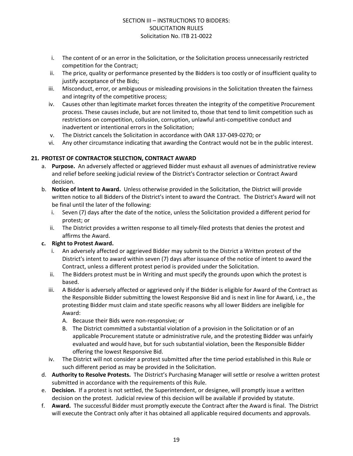- i. The content of or an error in the Solicitation, or the Solicitation process unnecessarily restricted competition for the Contract;
- ii. The price, quality or performance presented by the Bidders is too costly or of insufficient quality to justify acceptance of the Bids;
- iii. Misconduct, error, or ambiguous or misleading provisions in the Solicitation threaten the fairness and integrity of the competitive process;
- iv. Causes other than legitimate market forces threaten the integrity of the competitive Procurement process. These causes include, but are not limited to, those that tend to limit competition such as restrictions on competition, collusion, corruption, unlawful anti-competitive conduct and inadvertent or intentional errors in the Solicitation;
- v. The District cancels the Solicitation in accordance with OAR 137-049-0270; or
- vi. Any other circumstance indicating that awarding the Contract would not be in the public interest.

#### **21. PROTEST OF CONTRACTOR SELECTION, CONTRACT AWARD**

- a. **Purpose.** An adversely affected or aggrieved Bidder must exhaust all avenues of administrative review and relief before seeking judicial review of the District's Contractor selection or Contract Award decision.
- b. **Notice of Intent to Award.** Unless otherwise provided in the Solicitation, the District will provide written notice to all Bidders of the District's intent to award the Contract. The District's Award will not be final until the later of the following:
	- i. Seven (7) days after the date of the notice, unless the Solicitation provided a different period for protest; or
	- ii. The District provides a written response to all timely-filed protests that denies the protest and affirms the Award.

#### **c. Right to Protest Award.**

- i. An adversely affected or aggrieved Bidder may submit to the District a Written protest of the District's intent to award within seven (7) days after issuance of the notice of intent to award the Contract, unless a different protest period is provided under the Solicitation.
- ii. The Bidders protest must be in Writing and must specify the grounds upon which the protest is based.
- iii. A Bidder is adversely affected or aggrieved only if the Bidder is eligible for Award of the Contract as the Responsible Bidder submitting the lowest Responsive Bid and is next in line for Award, i.e., the protesting Bidder must claim and state specific reasons why all lower Bidders are ineligible for Award:
	- A. Because their Bids were non-responsive; or
	- B. The District committed a substantial violation of a provision in the Solicitation or of an applicable Procurement statute or administrative rule, and the protesting Bidder was unfairly evaluated and would have, but for such substantial violation, been the Responsible Bidder offering the lowest Responsive Bid.
- iv. The District will not consider a protest submitted after the time period established in this Rule or such different period as may be provided in the Solicitation.
- d. **Authority to Resolve Protests.** The District's Purchasing Manager will settle or resolve a written protest submitted in accordance with the requirements of this Rule.
- e. **Decision.** If a protest is not settled, the Superintendent, or designee, will promptly issue a written decision on the protest. Judicial review of this decision will be available if provided by statute.
- f. **Award.** The successful Bidder must promptly execute the Contract after the Award is final. The District will execute the Contract only after it has obtained all applicable required documents and approvals.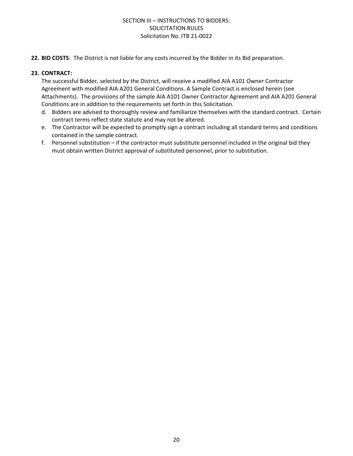**22. BID COSTS**: The District is not liable for any costs incurred by the Bidder in its Bid preparation.

#### **23. CONTRACT:**

The successful Bidder, selected by the District, will receive a modified AIA A101 Owner Contractor Agreement with modified AIA A201 General Conditions. A Sample Contract is enclosed herein (see Attachments). The provisions of the sample AIA A101 Owner Contractor Agreement and AIA A201 General Conditions are in addition to the requirements set forth in this Solicitation.

- d. Bidders are advised to thoroughly review and familiarize themselves with the standard contract. Certain contract terms reflect state statute and may not be altered.
- e. The Contractor will be expected to promptly sign a contract including all standard terms and conditions contained in the sample contract.
- f. Personnel substitution if the contractor must substitute personnel included in the original bid they must obtain written District approval of substituted personnel, prior to substitution.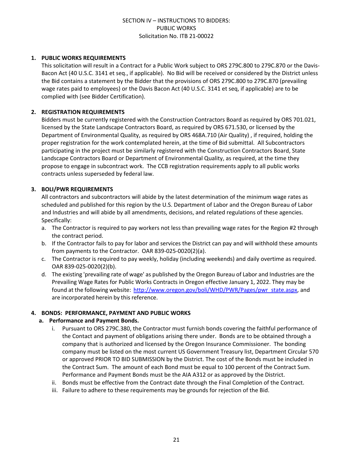#### **1. PUBLIC WORKS REQUIREMENTS**

This solicitation will result in a Contract for a Public Work subject to ORS 279C.800 to 279C.870 or the Davis-Bacon Act (40 U.S.C. 3141 et seq., if applicable). No Bid will be received or considered by the District unless the Bid contains a statement by the Bidder that the provisions of ORS 279C.800 to 279C.870 (prevailing wage rates paid to employees) or the Davis Bacon Act (40 U.S.C. 3141 et seq, if applicable) are to be complied with (see Bidder Certification).

#### **2. REGISTRATION REQUIREMENTS**

Bidders must be currently registered with the Construction Contractors Board as required by ORS 701.021, licensed by the State Landscape Contractors Board, as required by ORS 671.530, or licensed by the Department of Environmental Quality, as required by ORS 468A.710 (Air Quality) , if required, holding the proper registration for the work contemplated herein, at the time of Bid submittal. All Subcontractors participating in the project must be similarly registered with the Construction Contractors Board, State Landscape Contractors Board or Department of Environmental Quality, as required, at the time they propose to engage in subcontract work. The CCB registration requirements apply to all public works contracts unless superseded by federal law.

#### **3. BOLI/PWR REQUIREMENTS**

All contractors and subcontractors will abide by the latest determination of the minimum wage rates as scheduled and published for this region by the U.S. Department of Labor and the Oregon Bureau of Labor and Industries and will abide by all amendments, decisions, and related regulations of these agencies. Specifically:

- a. The Contractor is required to pay workers not less than prevailing wage rates for the Region #2 through the contract period.
- b. If the Contractor fails to pay for labor and services the District can pay and will withhold these amounts from payments to the Contractor. OAR 839-025-0020(2)(a).
- c. The Contractor is required to pay weekly, holiday (including weekends) and daily overtime as required. OAR 839-025-0020(2)(b).
- d. The existing 'prevailing rate of wage' as published by the Oregon Bureau of Labor and Industries are the Prevailing Wage Rates for Public Works Contracts in Oregon effective January 1, 2022. They may be found at the following website: [http://www.oregon.gov/boli/WHD/PWR/Pages/pwr\\_state.aspx,](http://www.oregon.gov/boli/WHD/PWR/Pages/pwr_state.aspx) and are incorporated herein by this reference.

#### **4. BONDS: PERFORMANCE, PAYMENT AND PUBLIC WORKS**

#### **a. Performance and Payment Bonds.**

- i. Pursuant to ORS 279C.380, the Contractor must furnish bonds covering the faithful performance of the Contact and payment of obligations arising there under. Bonds are to be obtained through a company that is authorized and licensed by the Oregon Insurance Commissioner. The bonding company must be listed on the most current US Government Treasury list, Department Circular 570 or approved PRIOR TO BID SUBMISSION by the District. The cost of the Bonds must be included in the Contract Sum. The amount of each Bond must be equal to 100 percent of the Contract Sum. Performance and Payment Bonds must be the AIA A312 or as approved by the District.
- ii. Bonds must be effective from the Contract date through the Final Completion of the Contract.
- iii. Failure to adhere to these requirements may be grounds for rejection of the Bid.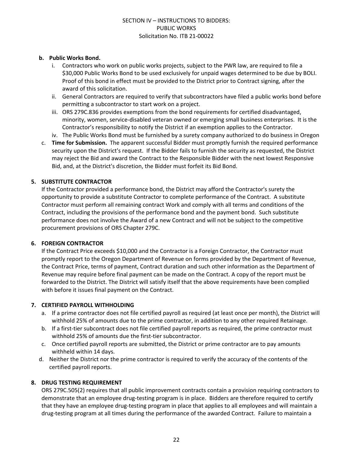#### **b. Public Works Bond.**

- i. Contractors who work on public works projects, subject to the PWR law, are required to file a \$30,000 Public Works Bond to be used exclusively for unpaid wages determined to be due by BOLI. Proof of this bond in effect must be provided to the District prior to Contract signing, after the award of this solicitation.
- ii. General Contractors are required to verify that subcontractors have filed a public works bond before permitting a subcontractor to start work on a project.
- iii. ORS 279C.836 provides exemptions from the bond requirements for certified disadvantaged, minority, women, service-disabled veteran owned or emerging small business enterprises. It is the Contractor's responsibility to notify the District if an exemption applies to the Contractor.
- iv. The Public Works Bond must be furnished by a surety company authorized to do business in Oregon
- c. **Time for Submission.** The apparent successful Bidder must promptly furnish the required performance security upon the District's request. If the Bidder fails to furnish the security as requested, the District may reject the Bid and award the Contract to the Responsible Bidder with the next lowest Responsive Bid, and, at the District's discretion, the Bidder must forfeit its Bid Bond.

#### **5. SUBSTITUTE CONTRACTOR**

If the Contractor provided a performance bond, the District may afford the Contractor's surety the opportunity to provide a substitute Contractor to complete performance of the Contract. A substitute Contractor must perform all remaining contract Work and comply with all terms and conditions of the Contract, including the provisions of the performance bond and the payment bond. Such substitute performance does not involve the Award of a new Contract and will not be subject to the competitive procurement provisions of ORS Chapter 279C.

#### **6. FOREIGN CONTRACTOR**

If the Contract Price exceeds \$10,000 and the Contractor is a Foreign Contractor, the Contractor must promptly report to the Oregon Department of Revenue on forms provided by the Department of Revenue, the Contract Price, terms of payment, Contract duration and such other information as the Department of Revenue may require before final payment can be made on the Contract. A copy of the report must be forwarded to the District. The District will satisfy itself that the above requirements have been complied with before it issues final payment on the Contract.

#### **7. CERTIFIED PAYROLL WITHHOLDING**

- a. If a prime contractor does not file certified payroll as required (at least once per month), the District will withhold 25% of amounts due to the prime contractor, in addition to any other required Retainage.
- b. If a first-tier subcontract does not file certified payroll reports as required, the prime contractor must withhold 25% of amounts due the first-tier subcontractor.
- c. Once certified payroll reports are submitted, the District or prime contractor are to pay amounts withheld within 14 days.
- d. Neither the District nor the prime contractor is required to verify the accuracy of the contents of the certified payroll reports.

#### **8. DRUG TESTING REQUIREMENT**

ORS 279C.505(2) requires that all public improvement contracts contain a provision requiring contractors to demonstrate that an employee drug-testing program is in place. Bidders are therefore required to certify that they have an employee drug-testing program in place that applies to all employees and will maintain a drug-testing program at all times during the performance of the awarded Contract. Failure to maintain a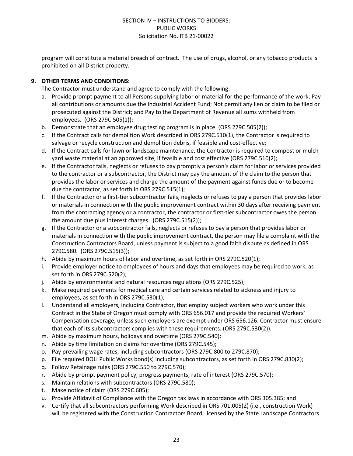program will constitute a material breach of contract. The use of drugs, alcohol, or any tobacco products is prohibited on all District property.

#### **9. OTHER TERMS AND CONDITIONS:**

The Contractor must understand and agree to comply with the following:

- a. Provide prompt payment to all Persons supplying labor or material for the performance of the work; Pay all contributions or amounts due the Industrial Accident Fund; Not permit any lien or claim to be filed or prosecuted against the District; and Pay to the Department of Revenue all sums withheld from employees. (ORS 279C.505(1));
- b. Demonstrate that an employee drug testing program is in place. (ORS 279C.505(2));
- c. If the Contract calls for demolition Work described in ORS 279C.510(1), the Contractor is required to salvage or recycle construction and demolition debris, if feasible and cost-effective;
- d. If the Contract calls for lawn or landscape maintenance, the Contractor is required to compost or mulch yard waste material at an approved site, if feasible and cost effective (ORS 279C.510(2);
- e. If the Contractor fails, neglects or refuses to pay promptly a person's claim for labor or services provided to the contractor or a subcontractor, the District may pay the amount of the claim to the person that provides the labor or services and charge the amount of the payment against funds due or to become due the contractor, as set forth in ORS 279C.515(1);
- f. If the Contractor or a first-tier subcontractor fails, neglects or refuses to pay a person that provides labor or materials in connection with the public improvement contract within 30 days after receiving payment from the contracting agency or a contractor, the contractor or first-tier subcontractor owes the person the amount due plus interest charges. (ORS 279C.515(2));
- g. If the Contractor or a subcontractor fails, neglects or refuses to pay a person that provides labor or materials in connection with the public improvement contract, the person may file a complaint with the Construction Contractors Board, unless payment is subject to a good faith dispute as defined in ORS 279C.580. (ORS 279C.515(3));
- h. Abide by maximum hours of labor and overtime, as set forth in ORS 279C.520(1);
- i. Provide employer notice to employees of hours and days that employees may be required to work, as set forth in ORS 279C.520(2);
- j. Abide by environmental and natural resources regulations (ORS 279C.525);
- k. Make required payments for medical care and certain services related to sickness and injury to employees, as set forth in ORS 279C.530(1);
- l. Understand all employers, including Contractor, that employ subject workers who work under this Contract in the State of Oregon must comply with ORS 656.017 and provide the required Workers' Compensation coverage, unless such employers are exempt under ORS 656.126. Contractor must ensure that each of its subcontractors complies with these requirements. (ORS 279C.530(2));
- m. Abide by maximum hours, holidays and overtime (ORS 279C.540);
- n. Abide by time limitation on claims for overtime (ORS 279C.545);
- o. Pay prevailing wage rates, including subcontractors (ORS 279C.800 to 279C.870);
- p. File required BOLI Public Works bond(s) including subcontractors, as set forth in ORS 279C.830(2);
- q. Follow Retainage rules (ORS 279C.550 to 279C.570);
- r. Abide by prompt payment policy, progress payments, rate of interest (ORS 279C.570);
- s. Maintain relations with subcontractors (ORS 279C.580);
- t. Make notice of claim (ORS 279C.605);
- u. Provide Affidavit of Compliance with the Oregon tax laws in accordance with ORS 305.385; and
- v. Certify that all subcontractors performing Work described in ORS 701.005(2) (i.e., construction Work) will be registered with the Construction Contractors Board, licensed by the State Landscape Contractors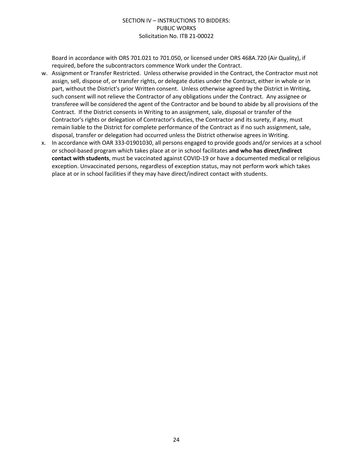Board in accordance with ORS 701.021 to 701.050, or licensed under ORS 468A.720 (Air Quality), if required, before the subcontractors commence Work under the Contract.

- w. Assignment or Transfer Restricted. Unless otherwise provided in the Contract, the Contractor must not assign, sell, dispose of, or transfer rights, or delegate duties under the Contract, either in whole or in part, without the District's prior Written consent. Unless otherwise agreed by the District in Writing, such consent will not relieve the Contractor of any obligations under the Contract. Any assignee or transferee will be considered the agent of the Contractor and be bound to abide by all provisions of the Contract. If the District consents in Writing to an assignment, sale, disposal or transfer of the Contractor's rights or delegation of Contractor's duties, the Contractor and its surety, if any, must remain liable to the District for complete performance of the Contract as if no such assignment, sale, disposal, transfer or delegation had occurred unless the District otherwise agrees in Writing.
- x. In accordance with OAR 333-01901030, all persons engaged to provide goods and/or services at a school or school-based program which takes place at or in school facilitates **and who has direct/indirect contact with students**, must be vaccinated against COVID-19 or have a documented medical or religious exception. Unvaccinated persons, regardless of exception status, may not perform work which takes place at or in school facilities if they may have direct/indirect contact with students.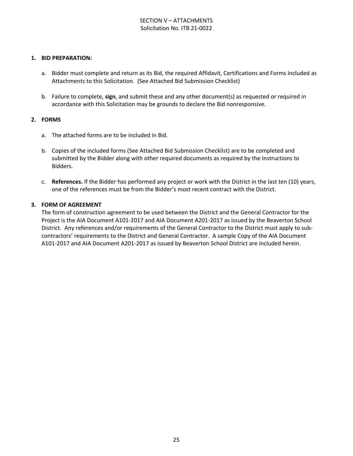#### SECTION V – ATTACHMENTS Solicitation No. ITB 21-0022

#### **1. BID PREPARATION:**

- a. Bidder must complete and return as its Bid, the required Affidavit, Certifications and Forms included as Attachments to this Solicitation. (See Attached Bid Submission Checklist)
- b. Failure to complete, **sign**, and submit these and any other document(s) as requested or required in accordance with this Solicitation may be grounds to declare the Bid nonresponsive.

#### **2. FORMS**

- a. The attached forms are to be included in Bid.
- b. Copies of the included forms (See Attached Bid Submission Checklist) are to be completed and submitted by the Bidder along with other required documents as required by the Instructions to Bidders.
- c. **References.** If the Bidder has performed any project or work with the District in the last ten (10) years, one of the references must be from the Bidder's most recent contract with the District.

#### **3. FORM OF AGREEMENT**

The form of construction agreement to be used between the District and the General Contractor for the Project is the AIA Document A101-2017 and AIA Document A201-2017 as issued by the Beaverton School District. Any references and/or requirements of the General Contractor to the District must apply to subcontractors' requirements to the District and General Contractor. A sample Copy of the AIA Document A101-2017 and AIA Document A201-2017 as issued by Beaverton School District are included herein.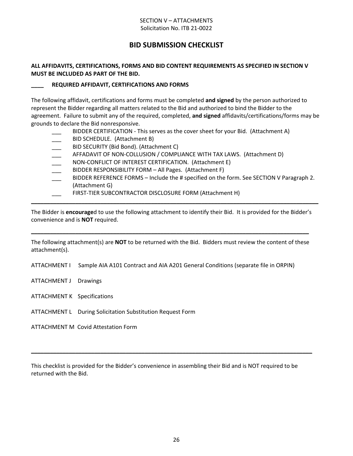#### SECTION V – ATTACHMENTS Solicitation No. ITB 21-0022

## **BID SUBMISSION CHECKLIST**

#### **ALL AFFIDAVITS, CERTIFICATIONS, FORMS AND BID CONTENT REQUIREMENTS AS SPECIFIED IN SECTION V MUST BE INCLUDED AS PART OF THE BID.**

#### **\_\_\_\_ REQUIRED AFFIDAVIT, CERTIFICATIONS AND FORMS**

The following affidavit, certifications and forms must be completed **and signed** by the person authorized to represent the Bidder regarding all matters related to the Bid and authorized to bind the Bidder to the agreement. Failure to submit any of the required, completed, **and signed** affidavits/certifications/forms may be grounds to declare the Bid nonresponsive.

- BIDDER CERTIFICATION This serves as the cover sheet for your Bid. (Attachment A)
- BID SCHEDULE. (Attachment B)
- BID SECURITY (Bid Bond). (Attachment C)
- AFFADAVIT OF NON-COLLUSION / COMPLIANCE WITH TAX LAWS. (Attachment D)
- NON-CONFLICT OF INTEREST CERTIFICATION. (Attachment E)
- BIDDER RESPONSIBILITY FORM All Pages. (Attachment F)
- BIDDER REFERENCE FORMS Include the # specified on the form. See SECTION V Paragraph 2. (Attachment G)
- FIRST-TIER SUBCONTRACTOR DISCLOSURE FORM (Attachment H)

The Bidder is **encourage**d to use the following attachment to identify their Bid. It is provided for the Bidder's convenience and is **NOT** required.

**\_\_\_\_\_\_\_\_\_\_\_\_\_\_\_\_\_\_\_\_\_\_\_\_\_\_\_\_\_\_\_\_\_\_\_\_\_\_\_\_\_\_\_\_\_\_\_\_\_\_\_\_\_\_\_\_\_\_\_\_\_\_\_\_\_\_\_\_\_\_\_\_\_\_\_\_\_\_\_\_\_\_\_\_\_\_\_\_\_\_\_**

The following attachment(s) are **NOT** to be returned with the Bid. Bidders must review the content of these attachment(s).

**\_\_\_\_\_\_\_\_\_\_\_\_\_\_\_\_\_\_\_\_\_\_\_\_\_\_\_\_\_\_\_\_\_\_\_\_\_\_\_\_\_\_\_\_\_\_\_\_\_\_\_\_\_\_\_\_\_\_\_\_\_\_\_\_\_\_\_\_\_\_\_\_\_\_\_\_\_\_\_\_\_\_\_\_\_\_\_\_**

ATTACHMENT I Sample AIA A101 Contract and AIA A201 General Conditions (separate file in ORPIN)

- ATTACHMENT J Drawings
- ATTACHMENT K Specifications
- ATTACHMENT L During Solicitation Substitution Request Form

ATTACHMENT M Covid Attestation Form

This checklist is provided for the Bidder's convenience in assembling their Bid and is NOT required to be returned with the Bid.

**\_\_\_\_\_\_\_\_\_\_\_\_\_\_\_\_\_\_\_\_\_\_\_\_\_\_\_\_\_\_\_\_\_\_\_\_\_\_\_\_\_\_\_\_\_\_\_\_\_\_\_\_\_\_\_\_\_\_\_\_\_\_\_\_\_\_\_\_\_\_\_\_\_\_\_\_\_\_\_\_\_\_\_\_\_\_\_\_\_**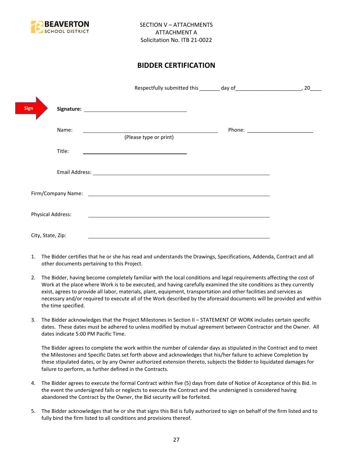

## **BIDDER CERTIFICATION**

| <b>Sign</b>       |                                                                                                                                                                                                                                |                                      |
|-------------------|--------------------------------------------------------------------------------------------------------------------------------------------------------------------------------------------------------------------------------|--------------------------------------|
| Name:             | <u> 1989 - Johann Stoff, deutscher Stoffen und der Stoffen und der Stoffen und der Stoffen und der Stoffen und der</u><br>(Please type or print)                                                                               | Phone: _____________________________ |
| Title:            |                                                                                                                                                                                                                                |                                      |
|                   |                                                                                                                                                                                                                                |                                      |
|                   | Firm/Company Name: The company of the company of the company of the company of the company of the company of the company of the company of the company of the company of the company of the company of the company of the comp |                                      |
| Physical Address: |                                                                                                                                                                                                                                |                                      |
| City, State, Zip: |                                                                                                                                                                                                                                |                                      |

- 1. The Bidder certifies that he or she has read and understands the Drawings, Specifications, Addenda, Contract and all other documents pertaining to this Project.
- 2. The Bidder, having become completely familiar with the local conditions and legal requirements affecting the cost of Work at the place where Work is to be executed, and having carefully examined the site conditions as they currently exist, agrees to provide all labor, materials, plant, equipment, transportation and other facilities and services as necessary and/or required to execute all of the Work described by the aforesaid documents will be provided and within the time specified.
- 3. The Bidder acknowledges that the Project Milestones in Section II STATEMENT OF WORK includes certain specific dates. These dates must be adhered to unless modified by mutual agreement between Contractor and the Owner. All dates indicate 5:00 PM Pacific Time.

The Bidder agrees to complete the work within the number of calendar days as stipulated in the Contract and to meet the Milestones and Specific Dates set forth above and acknowledges that his/her failure to achieve Completion by these stipulated dates, or by any Owner authorized extension thereto, subjects the Bidder to liquidated damages for failure to perform, as further defined in the Contracts.

- 4. The Bidder agrees to execute the formal Contract within five (5) days from date of Notice of Acceptance of this Bid. In the event the undersigned fails or neglects to execute the Contract and the undersigned is considered having abandoned the Contract by the Owner, the Bid security will be forfeited.
- 5. The Bidder acknowledges that he or she that signs this Bid is fully authorized to sign on behalf of the firm listed and to fully bind the firm listed to all conditions and provisions thereof.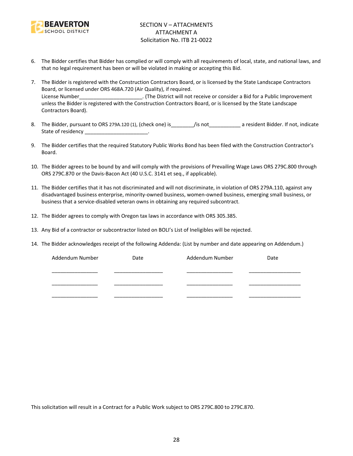

- 6. The Bidder certifies that Bidder has complied or will comply with all requirements of local, state, and national laws, and that no legal requirement has been or will be violated in making or accepting this Bid.
- 7. The Bidder is registered with the Construction Contractors Board, or is licensed by the State Landscape Contractors Board, or licensed under ORS 468A.720 (Air Quality), if required. License Number\_\_\_\_\_\_\_\_\_\_\_\_\_\_\_\_\_\_\_\_\_\_\_\_. (The District will not receive or consider a Bid for a Public Improvement unless the Bidder is registered with the Construction Contractors Board, or is licensed by the State Landscape Contractors Board).
- 8. The Bidder, pursuant to ORS 279A.120 (1), (check one) is figure is figure to a resident Bidder. If not, indicate State of residency \_\_\_\_\_\_\_\_\_\_\_\_\_\_\_\_\_\_\_\_\_\_\_\_.
- 9. The Bidder certifies that the required Statutory Public Works Bond has been filed with the Construction Contractor's Board.
- 10. The Bidder agrees to be bound by and will comply with the provisions of Prevailing Wage Laws ORS 279C.800 through ORS 279C.870 or the Davis-Bacon Act (40 U.S.C. 3141 et seq., if applicable).
- 11. The Bidder certifies that it has not discriminated and will not discriminate, in violation of ORS 279A.110, against any disadvantaged business enterprise, minority-owned business, women-owned business, emerging small business, or business that a service-disabled veteran owns in obtaining any required subcontract.
- 12. The Bidder agrees to comply with Oregon tax laws in accordance with ORS 305.385.
- 13. Any Bid of a contractor or subcontractor listed on BOLI's List of Ineligibles will be rejected.
- 14. The Bidder acknowledges receipt of the following Addenda: (List by number and date appearing on Addendum.)

| Addendum Number | Date | Addendum Number | Date |
|-----------------|------|-----------------|------|
|                 |      |                 |      |
|                 |      |                 |      |
|                 |      |                 |      |
|                 |      |                 |      |
|                 |      |                 |      |

This solicitation will result in a Contract for a Public Work subject to ORS 279C.800 to 279C.870.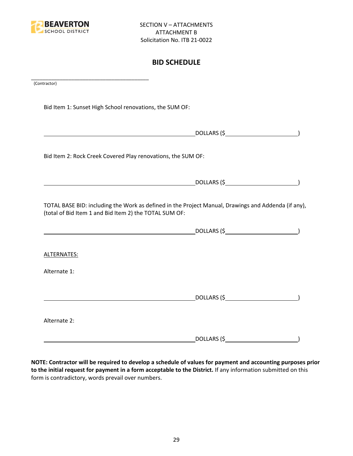

## **BID SCHEDULE**

| (Contractor)                                                                                                                                                  |             |  |
|---------------------------------------------------------------------------------------------------------------------------------------------------------------|-------------|--|
| Bid Item 1: Sunset High School renovations, the SUM OF:                                                                                                       |             |  |
| $DOLLARS$ $(\xi$                                                                                                                                              |             |  |
| Bid Item 2: Rock Creek Covered Play renovations, the SUM OF:                                                                                                  |             |  |
|                                                                                                                                                               |             |  |
| TOTAL BASE BID: including the Work as defined in the Project Manual, Drawings and Addenda (if any),<br>(total of Bid Item 1 and Bid Item 2) the TOTAL SUM OF: |             |  |
|                                                                                                                                                               |             |  |
| ALTERNATES:                                                                                                                                                   |             |  |
| Alternate 1:                                                                                                                                                  |             |  |
|                                                                                                                                                               |             |  |
| Alternate 2:                                                                                                                                                  |             |  |
|                                                                                                                                                               | DOLLARS (\$ |  |

**NOTE: Contractor will be required to develop a schedule of values for payment and accounting purposes prior to the initial request for payment in a form acceptable to the District.** If any information submitted on this form is contradictory, words prevail over numbers.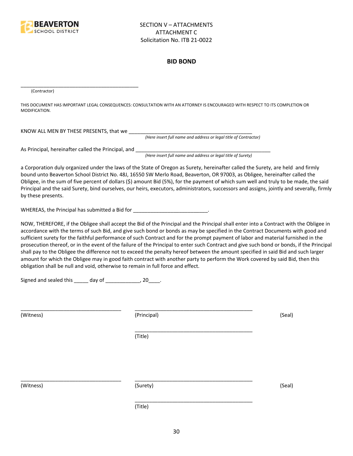

#### **BID BOND**

(Contractor)

THIS DOCUMENT HAS IMPORTANT LEGAL CONSEQUENCES: CONSULTATION WITH AN ATTORNEY IS ENCOURAGED WITH RESPECT TO ITS COMPLETION OR MODIFICATION.

KNOW ALL MEN BY THESE PRESENTS, that we \_\_\_\_\_\_\_\_\_\_\_\_\_\_\_\_\_\_\_\_\_\_\_\_\_\_\_\_\_\_\_\_\_\_\_\_\_\_\_\_\_\_\_

*(Here insert full name and address or legal title of Contractor)*

As Principal, hereinafter called the Principal, and \_\_\_\_\_\_\_\_\_\_\_\_\_\_\_\_\_\_\_\_\_\_\_\_\_\_\_\_

\_\_\_\_\_\_\_\_\_\_\_\_\_\_\_\_\_\_\_\_\_\_\_\_\_\_\_\_\_\_\_\_\_\_\_\_\_\_\_\_\_

*(Here insert full name and address or legal title of Surety)*

a Corporation duly organized under the laws of the State of Oregon as Surety, hereinafter called the Surety, are held and firmly bound unto Beaverton School District No. 48J, 16550 SW Merlo Road, Beaverton, OR 97003, as Obligee, hereinafter called the Obligee, in the sum of five percent of dollars (\$) amount Bid (5%), for the payment of which sum well and truly to be made, the said Principal and the said Surety, bind ourselves, our heirs, executors, administrators, successors and assigns, jointly and severally, firmly by these presents.

WHEREAS, the Principal has submitted a Bid for \_\_\_\_\_\_\_\_\_\_\_\_\_\_\_\_\_\_\_\_\_\_\_\_\_\_\_\_.

NOW, THEREFORE, if the Obligee shall accept the Bid of the Principal and the Principal shall enter into a Contract with the Obligee in accordance with the terms of such Bid, and give such bond or bonds as may be specified in the Contract Documents with good and sufficient surety for the faithful performance of such Contract and for the prompt payment of labor and material furnished in the prosecution thereof, or in the event of the failure of the Principal to enter such Contract and give such bond or bonds, if the Principal shall pay to the Obligee the difference not to exceed the penalty hereof between the amount specified in said Bid and such larger amount for which the Obligee may in good faith contract with another party to perform the Work covered by said Bid, then this obligation shall be null and void, otherwise to remain in full force and effect.

\_\_\_\_\_\_\_\_\_\_\_\_\_\_\_\_\_\_\_\_\_\_\_\_\_\_\_\_\_\_\_\_\_\_\_\_\_\_\_\_\_

\_\_\_\_\_\_\_\_\_\_\_\_\_\_\_\_\_\_\_\_\_\_\_\_\_\_\_\_\_\_\_\_\_\_\_\_\_\_\_\_\_

Signed and sealed this \_\_\_\_\_ day of \_\_\_\_\_\_\_\_\_\_\_\_, 20\_\_\_\_.

(Witness) (Principal) (Seal)

(Title)

\_\_\_\_\_\_\_\_\_\_\_\_\_\_\_\_\_\_\_\_\_\_\_\_\_\_\_\_\_\_\_\_\_\_\_ \_\_\_\_\_\_\_\_\_\_\_\_\_\_\_\_\_\_\_\_\_\_\_\_\_\_\_\_\_\_\_\_\_\_\_\_\_\_\_\_\_

(Witness) (Surety) (Seal)

\_\_\_\_\_\_\_\_\_\_\_\_\_\_\_\_\_\_\_\_\_\_\_\_\_\_\_\_\_\_\_\_\_\_\_ \_\_\_\_\_\_\_\_\_\_\_\_\_\_\_\_\_\_\_\_\_\_\_\_\_\_\_\_\_\_\_\_\_\_\_\_\_\_\_\_\_

(Title)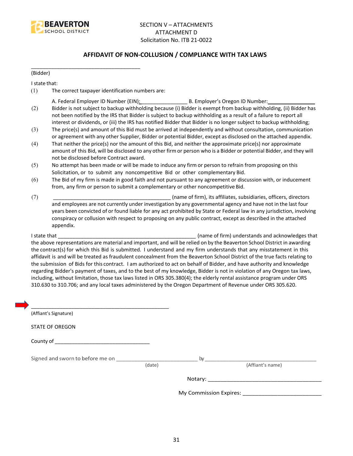

#### **AFFIDAVIT OF NON-COLLUSION / COMPLIANCE WITH TAX LAWS**

(Bidder)

I state that:

(1) The correct taxpayer identification numbers are:

\_\_\_\_\_\_\_\_\_\_\_\_\_\_\_\_\_\_\_\_\_\_\_\_\_\_\_\_\_\_\_\_\_\_\_\_\_\_

- A. Federal Employer ID Number (EIN): \_\_\_\_\_\_\_\_\_\_\_\_\_\_\_\_ B. Employer's Oregon ID Number: \_\_\_\_\_\_\_\_\_\_\_\_\_\_\_\_
- (2) Bidder is not subject to backup withholding because (i) Bidder is exempt from backup withholding, (ii) Bidder has not been notified by the IRS that Bidder is subject to backup withholding as a result of a failure to report all interest or dividends, or (iii) the IRS has notified Bidder that Bidder is no longer subject to backup withholding;
- (3) The price(s) and amount of this Bid must be arrived at independently and without consultation, communication or agreement with any other Supplier, Bidder or potential Bidder, except as disclosed on the attached appendix.
- (4) That neither the price(s) nor the amount of this Bid, and neither the approximate price(s) nor approximate amount of this Bid, will be disclosed to any other firm or person who is a Bidder or potential Bidder, and they will not be disclosed before Contract award.
- (5) No attempt has been made or will be made to induce any firm or person to refrain from proposing on this Solicitation, or to submit any noncompetitive Bid or other complementary Bid.
- (6) The Bid of my firm is made in good faith and not pursuant to any agreement or discussion with, or inducement from, any firm or person to submit a complementary or other noncompetitive Bid.
- (7) \_\_\_\_\_\_\_\_\_\_\_\_\_\_\_\_\_\_\_\_\_\_\_\_\_\_\_\_\_\_\_\_\_\_\_\_\_\_\_\_\_ (name of firm), its affiliates, subsidiaries, officers, directors and employees are not currently under investigation by any governmental agency and have not in the last four years been convicted of or found liable for any act prohibited by State or Federal law in any jurisdiction, involving conspiracy or collusion with respect to proposing on any public contract, except as described in the attached appendix.

I state that **I state that**  $\blacksquare$  (name of firm) understands and acknowledges that the above representations are material and important, and will be relied on by the Beaverton School District in awarding the contract(s) for which this Bid is submitted. I understand and my firm understands that any misstatement in this affidavit is and will be treated as fraudulent concealment from the Beaverton School District of the true facts relating to the submission of Bids for this contract. I am authorized to act on behalf of Bidder, and have authority and knowledge regarding Bidder's payment of taxes, and to the best of my knowledge, Bidder is not in violation of any Oregon tax laws, including, without limitation, those tax laws listed in ORS 305.380(4); the elderly rental assistance program under ORS 310.630 to 310.706; and any local taxes administered by the Oregon Department of Revenue under ORS 305.620.

| (Affiant's Signature)                                                                                                                                                                                                          |        |                  |
|--------------------------------------------------------------------------------------------------------------------------------------------------------------------------------------------------------------------------------|--------|------------------|
| <b>STATE OF OREGON</b>                                                                                                                                                                                                         |        |                  |
|                                                                                                                                                                                                                                |        |                  |
| Signed and sworn to before me on which is a state of the by state of the by the state of the state of the state of the state of the state of the state of the state of the state of the state of the state of the state of the | (date) | (Affiant's name) |
|                                                                                                                                                                                                                                |        |                  |
|                                                                                                                                                                                                                                |        |                  |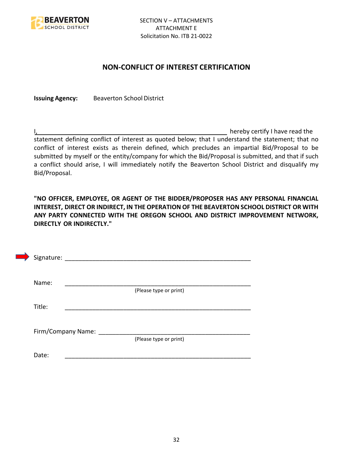

### **NON-CONFLICT OF INTEREST CERTIFICATION**

**Issuing Agency:** Beaverton School District

I, the contract of the contract of the contract of the contract of the hereby certify I have read the statement defining conflict of interest as quoted below; that I understand the statement; that no conflict of interest exists as therein defined, which precludes an impartial Bid/Proposal to be submitted by myself or the entity/company for which the Bid/Proposal is submitted, and that if such a conflict should arise, I will immediately notify the Beaverton School District and disqualify my Bid/Proposal.

**"NO OFFICER, EMPLOYEE, OR AGENT OF THE BIDDER/PROPOSER HAS ANY PERSONAL FINANCIAL INTEREST, DIRECT OR INDIRECT, IN THE OPERATION OF THE BEAVERTON SCHOOL DISTRICT OR WITH ANY PARTY CONNECTED WITH THE OREGON SCHOOL AND DISTRICT IMPROVEMENT NETWORK, DIRECTLY OR INDIRECTLY."**

| Signature: |                      |                        |  |  |
|------------|----------------------|------------------------|--|--|
| Name:      |                      |                        |  |  |
|            |                      | (Please type or print) |  |  |
| Title:     |                      |                        |  |  |
|            |                      |                        |  |  |
|            | Firm/Company Name: _ |                        |  |  |
|            |                      | (Please type or print) |  |  |
| Date:      |                      |                        |  |  |
|            |                      |                        |  |  |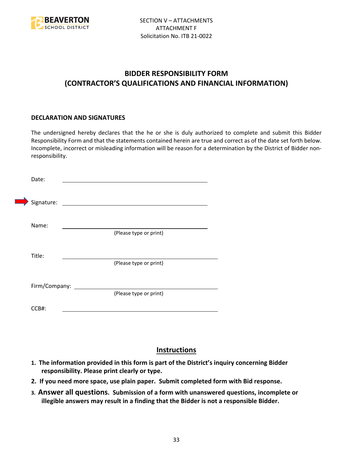

## **BIDDER RESPONSIBILITY FORM (CONTRACTOR'S QUALIFICATIONS AND FINANCIAL INFORMATION)**

#### **DECLARATION AND SIGNATURES**

The undersigned hereby declares that the he or she is duly authorized to complete and submit this Bidder Responsibility Form and that the statements contained herein are true and correct as of the date set forth below. Incomplete, incorrect or misleading information will be reason for a determination by the District of Bidder nonresponsibility.

| Date:                |                                             |
|----------------------|---------------------------------------------|
| Signature:           | <u> 1980 - Jan Samuel Barbara, martin d</u> |
| Name:                | (Please type or print)                      |
| Title:               |                                             |
| Firm/Company: ______ | (Please type or print)                      |
|                      | (Please type or print)                      |
| CCB#:                |                                             |

## **Instructions**

- **1. The information provided in this form is part of the District's inquiry concerning Bidder responsibility. Please print clearly or type.**
- **2. If you need more space, use plain paper. Submit completed form with Bid response.**
- **3. Answer all questions. Submission of a form with unanswered questions, incomplete or illegible answers may result in a finding that the Bidder is not a responsible Bidder.**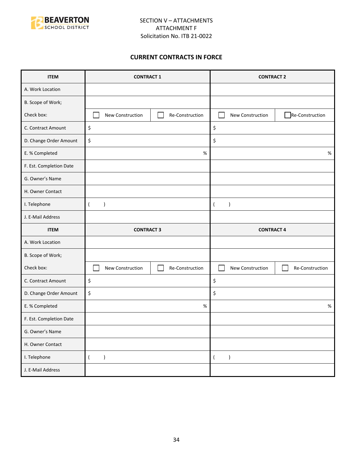

#### **CURRENT CONTRACTS IN FORCE**

| <b>ITEM</b>             | <b>CONTRACT 1</b>                   | <b>CONTRACT 2</b>                   |  |
|-------------------------|-------------------------------------|-------------------------------------|--|
| A. Work Location        |                                     |                                     |  |
| B. Scope of Work;       |                                     |                                     |  |
| Check box:              | New Construction<br>Re-Construction | Re-Construction<br>New Construction |  |
| C. Contract Amount      | \$                                  | \$                                  |  |
| D. Change Order Amount  | \$                                  | \$                                  |  |
| E. % Completed          | $\%$                                | $\%$                                |  |
| F. Est. Completion Date |                                     |                                     |  |
| G. Owner's Name         |                                     |                                     |  |
| H. Owner Contact        |                                     |                                     |  |
| I. Telephone            | $\overline{(}$<br>$\mathcal{E}$     | $\lambda$<br>$\overline{ }$         |  |
| J. E-Mail Address       |                                     |                                     |  |
|                         |                                     |                                     |  |
| <b>ITEM</b>             | <b>CONTRACT 3</b>                   | <b>CONTRACT 4</b>                   |  |
| A. Work Location        |                                     |                                     |  |
| B. Scope of Work;       |                                     |                                     |  |
| Check box:              | New Construction<br>Re-Construction | New Construction<br>Re-Construction |  |
| C. Contract Amount      | \$                                  | \$                                  |  |
| D. Change Order Amount  | \$                                  | \$                                  |  |
| E. % Completed          | %                                   | $\%$                                |  |
| F. Est. Completion Date |                                     |                                     |  |
| G. Owner's Name         |                                     |                                     |  |
| H. Owner Contact        |                                     |                                     |  |
| I. Telephone            | $\overline{(\ }$<br>$\lambda$       | $\lambda$<br>$\left($               |  |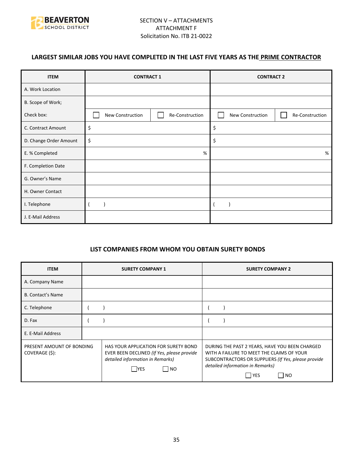

## **LARGEST SIMILAR JOBS YOU HAVE COMPLETED IN THE LAST FIVE YEARS AS THE PRIME CONTRACTOR**

| <b>ITEM</b>            | <b>CONTRACT 1</b> |                 | <b>CONTRACT 2</b> |                 |
|------------------------|-------------------|-----------------|-------------------|-----------------|
| A. Work Location       |                   |                 |                   |                 |
| B. Scope of Work;      |                   |                 |                   |                 |
| Check box:             | New Construction  | Re-Construction | New Construction  | Re-Construction |
| C. Contract Amount     | \$                |                 |                   |                 |
| D. Change Order Amount | \$                |                 | \$                |                 |
| E. % Completed         | %                 |                 |                   | %               |
| F. Completion Date     |                   |                 |                   |                 |
| G. Owner's Name        |                   |                 |                   |                 |
| H. Owner Contact       |                   |                 |                   |                 |
| I. Telephone           |                   |                 |                   |                 |
| J. E-Mail Address      |                   |                 |                   |                 |

#### **LIST COMPANIES FROM WHOM YOU OBTAIN SURETY BONDS**

| <b>ITEM</b>                                 | <b>SURETY COMPANY 1</b>                                                                                                                      | <b>SURETY COMPANY 2</b>                                                                                                                                                                                                        |
|---------------------------------------------|----------------------------------------------------------------------------------------------------------------------------------------------|--------------------------------------------------------------------------------------------------------------------------------------------------------------------------------------------------------------------------------|
| A. Company Name                             |                                                                                                                                              |                                                                                                                                                                                                                                |
| <b>B. Contact's Name</b>                    |                                                                                                                                              |                                                                                                                                                                                                                                |
| C. Telephone                                |                                                                                                                                              |                                                                                                                                                                                                                                |
| D. Fax                                      |                                                                                                                                              |                                                                                                                                                                                                                                |
| E. E-Mail Address                           |                                                                                                                                              |                                                                                                                                                                                                                                |
| PRESENT AMOUNT OF BONDING<br>COVERAGE (\$): | HAS YOUR APPLICATION FOR SURETY BOND<br>EVER BEEN DECLINED (If Yes, please provide<br>detailed information in Remarks)<br> NO<br><b>IYES</b> | DURING THE PAST 2 YEARS, HAVE YOU BEEN CHARGED<br>WITH A FAILURE TO MEET THE CLAIMS OF YOUR<br>SUBCONTRACTORS OR SUPPLIERS (If Yes, please provide<br>detailed information in Remarks)<br>  YES<br>$\overline{\phantom{1}}$ NO |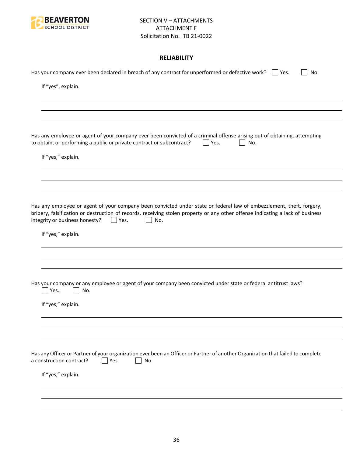

### **RELIABILITY**

| Has your company ever been declared in breach of any contract for unperformed or defective work? $\Box$ Yes.<br>No.                                                                                                                                                                                           |
|---------------------------------------------------------------------------------------------------------------------------------------------------------------------------------------------------------------------------------------------------------------------------------------------------------------|
| If "yes", explain.                                                                                                                                                                                                                                                                                            |
|                                                                                                                                                                                                                                                                                                               |
|                                                                                                                                                                                                                                                                                                               |
| Has any employee or agent of your company ever been convicted of a criminal offense arising out of obtaining, attempting<br>to obtain, or performing a public or private contract or subcontract?<br>Yes.<br>No.                                                                                              |
| If "yes," explain.                                                                                                                                                                                                                                                                                            |
|                                                                                                                                                                                                                                                                                                               |
|                                                                                                                                                                                                                                                                                                               |
| Has any employee or agent of your company been convicted under state or federal law of embezzlement, theft, forgery,<br>bribery, falsification or destruction of records, receiving stolen property or any other offense indicating a lack of business<br>integrity or business honesty?<br>$ $   Yes.<br>No. |
| If "yes," explain.                                                                                                                                                                                                                                                                                            |
|                                                                                                                                                                                                                                                                                                               |
|                                                                                                                                                                                                                                                                                                               |
| Has your company or any employee or agent of your company been convicted under state or federal antitrust laws?<br>Yes.<br>No.                                                                                                                                                                                |
| If "yes," explain.                                                                                                                                                                                                                                                                                            |
|                                                                                                                                                                                                                                                                                                               |
|                                                                                                                                                                                                                                                                                                               |
| Has any Officer or Partner of your organization ever been an Officer or Partner of another Organization that failed to complete<br>a construction contract?<br>Yes.<br>No.                                                                                                                                    |
| If "yes," explain.                                                                                                                                                                                                                                                                                            |
|                                                                                                                                                                                                                                                                                                               |
|                                                                                                                                                                                                                                                                                                               |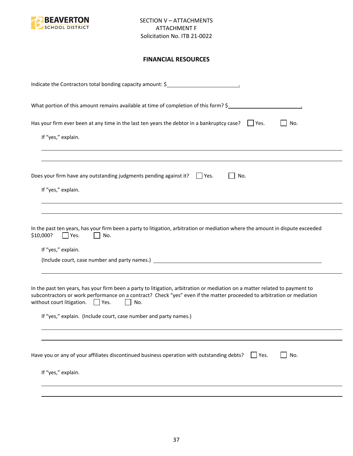

### **FINANCIAL RESOURCES**

| Indicate the Contractors total bonding capacity amount: \$                                                                                                                                                                                                                                                                                                                                |
|-------------------------------------------------------------------------------------------------------------------------------------------------------------------------------------------------------------------------------------------------------------------------------------------------------------------------------------------------------------------------------------------|
| What portion of this amount remains available at time of completion of this form? \$                                                                                                                                                                                                                                                                                                      |
| Has your firm ever been at any time in the last ten years the debtor in a bankruptcy case? $\Box$ Yes.<br>No.<br>If "yes," explain.                                                                                                                                                                                                                                                       |
|                                                                                                                                                                                                                                                                                                                                                                                           |
| Does your firm have any outstanding judgments pending against it? $\Box$ Yes.<br>No.                                                                                                                                                                                                                                                                                                      |
| If "yes," explain.                                                                                                                                                                                                                                                                                                                                                                        |
| In the past ten years, has your firm been a party to litigation, arbitration or mediation where the amount in dispute exceeded<br>\$10,000?<br>Yes.<br>No.<br>If "yes," explain.                                                                                                                                                                                                          |
| In the past ten years, has your firm been a party to litigation, arbitration or mediation on a matter related to payment to<br>subcontractors or work performance on a contract? Check "yes" even if the matter proceeded to arbitration or mediation<br>without court litigation. $\Box$ Yes.<br>No.<br>$\mathbf{1}$<br>If "yes," explain. (Include court, case number and party names.) |
|                                                                                                                                                                                                                                                                                                                                                                                           |
| Have you or any of your affiliates discontinued business operation with outstanding debts?<br>No.<br>$ $ Yes.                                                                                                                                                                                                                                                                             |
| If "yes," explain.                                                                                                                                                                                                                                                                                                                                                                        |
|                                                                                                                                                                                                                                                                                                                                                                                           |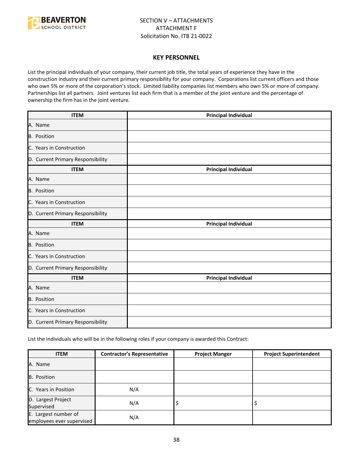

#### **KEY PERSONNEL**

List the principal individuals of your company, their current job title, the total years of experience they have in the construction industry and their current primary responsibility for your company. Corporations list current officers and those who own 5% or more of the corporation's stock. Limited liability companies list members who own 5% or more of company. Partnerships list all partners. Joint ventures list each firm that is a member of the joint venture and the percentage of ownership the firm has in the joint venture.

| <b>ITEM</b>                       | <b>Principal Individual</b> |
|-----------------------------------|-----------------------------|
| A. Name                           |                             |
| B. Position                       |                             |
| C. Years in Construction          |                             |
| D. Current Primary Responsibility |                             |
| <b>ITEM</b>                       | <b>Principal Individual</b> |
| A. Name                           |                             |
| B. Position                       |                             |
| C. Years in Construction          |                             |
| D. Current Primary Responsibility |                             |
| <b>ITEM</b>                       | <b>Principal Individual</b> |
| A. Name                           |                             |
| <b>B.</b> Position                |                             |
| C. Years in Construction          |                             |
| D. Current Primary Responsibility |                             |
| <b>ITEM</b>                       | <b>Principal Individual</b> |
| A. Name                           |                             |
| B. Position                       |                             |
| C. Years in Construction          |                             |
| D. Current Primary Responsibility |                             |

List the individuals who will be in the following roles if your company is awarded this Contract:

| <b>ITEM</b>                                       | <b>Contractor's Representative</b> | <b>Project Manger</b> | <b>Project Superintendent</b> |
|---------------------------------------------------|------------------------------------|-----------------------|-------------------------------|
| A. Name                                           |                                    |                       |                               |
| B. Position                                       |                                    |                       |                               |
| C. Years in Position                              | N/A                                |                       |                               |
| D. Largest Project<br>Supervised                  | N/A                                | ∍                     |                               |
| E. Largest number of<br>employees ever supervised | N/A                                |                       |                               |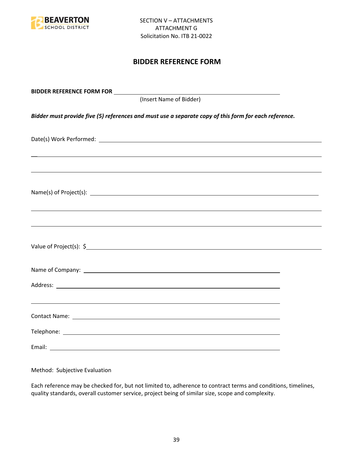

## **BIDDER REFERENCE FORM**

| (Insert Name of Bidder)                                                                               |  |
|-------------------------------------------------------------------------------------------------------|--|
| Bidder must provide five (5) references and must use a separate copy of this form for each reference. |  |
|                                                                                                       |  |
| ,我们也不会有什么。""我们的人,我们也不会有什么?""我们的人,我们也不会有什么?""我们的人,我们也不会有什么?""我们的人,我们也不会有什么?""我们的人                      |  |
|                                                                                                       |  |
| ,我们也不能会有一个人的事情。""我们的人,我们也不能会有一个人的人,我们也不能会有一个人的人,我们也不能会有一个人的人,我们也不能会有一个人的人,我们也不能会                      |  |
|                                                                                                       |  |
|                                                                                                       |  |
|                                                                                                       |  |
|                                                                                                       |  |
|                                                                                                       |  |
|                                                                                                       |  |

Method: Subjective Evaluation

Each reference may be checked for, but not limited to, adherence to contract terms and conditions, timelines, quality standards, overall customer service, project being of similar size, scope and complexity.